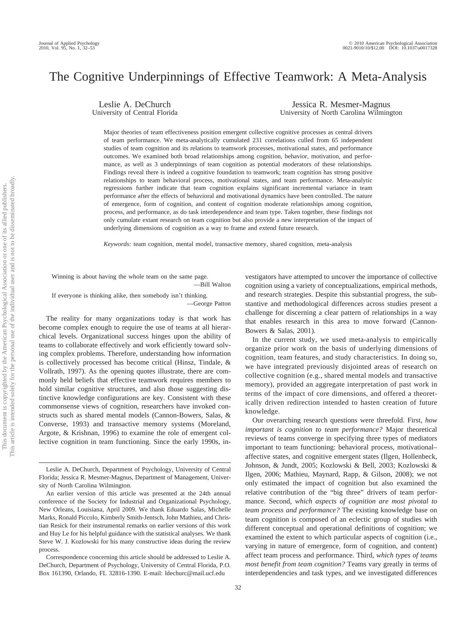# The Cognitive Underpinnings of Effective Teamwork: A Meta-Analysis

Leslie A. DeChurch University of Central Florida

Jessica R. Mesmer-Magnus University of North Carolina Wilmington

Major theories of team effectiveness position emergent collective cognitive processes as central drivers of team performance. We meta-analytically cumulated 231 correlations culled from 65 independent studies of team cognition and its relations to teamwork processes, motivational states, and performance outcomes. We examined both broad relationships among cognition, behavior, motivation, and performance, as well as 3 underpinnings of team cognition as potential moderators of these relationships. Findings reveal there is indeed a cognitive foundation to teamwork; team cognition has strong positive relationships to team behavioral process, motivational states, and team performance. Meta-analytic regressions further indicate that team cognition explains significant incremental variance in team performance after the effects of behavioral and motivational dynamics have been controlled. The nature of emergence, form of cognition, and content of cognition moderate relationships among cognition, process, and performance, as do task interdependence and team type. Taken together, these findings not only cumulate extant research on team cognition but also provide a new interpretation of the impact of underlying dimensions of cognition as a way to frame and extend future research.

*Keywords:* team cognition, mental model, transactive memory, shared cognition, meta-analysis

Winning is about having the whole team on the same page. —Bill Walton

If everyone is thinking alike, then somebody isn't thinking. —George Patton

The reality for many organizations today is that work has become complex enough to require the use of teams at all hierarchical levels. Organizational success hinges upon the ability of teams to collaborate effectively and work efficiently toward solving complex problems. Therefore, understanding how information is collectively processed has become critical (Hinsz, Tindale, & Vollrath, 1997). As the opening quotes illustrate, there are commonly held beliefs that effective teamwork requires members to hold similar cognitive structures, and also those suggesting distinctive knowledge configurations are key. Consistent with these commonsense views of cognition, researchers have invoked constructs such as shared mental models (Cannon-Bowers, Salas, & Converse, 1993) and transactive memory systems (Moreland, Argote, & Krishnan, 1996) to examine the role of emergent collective cognition in team functioning. Since the early 1990s, investigators have attempted to uncover the importance of collective cognition using a variety of conceptualizations, empirical methods, and research strategies. Despite this substantial progress, the substantive and methodological differences across studies present a challenge for discerning a clear pattern of relationships in a way that enables research in this area to move forward (Cannon-Bowers & Salas, 2001).

In the current study, we used meta-analysis to empirically organize prior work on the basis of underlying dimensions of cognition, team features, and study characteristics. In doing so, we have integrated previously disjointed areas of research on collective cognition (e.g., shared mental models and transactive memory), provided an aggregate interpretation of past work in terms of the impact of core dimensions, and offered a theoretically driven redirection intended to hasten creation of future knowledge.

Our overarching research questions were threefold. First, *how important is cognition to team performance?* Major theoretical reviews of teams converge in specifying three types of mediators important to team functioning: behavioral process, motivational– affective states, and cognitive emergent states (Ilgen, Hollenbeck, Johnson, & Jundt, 2005; Kozlowski & Bell, 2003; Kozlowski & Ilgen, 2006; Mathieu, Maynard, Rapp, & Gilson, 2008); we not only estimated the impact of cognition but also examined the relative contribution of the "big three" drivers of team performance. Second, *which aspects of cognition are most pivotal to team process and performance?* The existing knowledge base on team cognition is composed of an eclectic group of studies with different conceptual and operational definitions of cognition; we examined the extent to which particular aspects of cognition (i.e., varying in nature of emergence, form of cognition, and content) affect team process and performance. Third, *which types of teams most benefit from team cognition?* Teams vary greatly in terms of interdependencies and task types, and we investigated differences

Leslie A. DeChurch, Department of Psychology, University of Central Florida; Jessica R. Mesmer-Magnus, Department of Management, University of North Carolina Wilmington.

An earlier version of this article was presented at the 24th annual conference of the Society for Industrial and Organizational Psychology, New Orleans, Louisiana, April 2009. We thank Eduardo Salas, Michelle Marks, Ronald Piccolo, Kimberly Smith-Jentsch, John Mathieu, and Christian Resick for their instrumental remarks on earlier versions of this work and Huy Le for his helpful guidance with the statistical analyses. We thank Steve W. J. Kozlowski for his many constructive ideas during the review process.

Correspondence concerning this article should be addressed to Leslie A. DeChurch, Department of Psychology, University of Central Florida, P.O. Box 161390, Orlando, FL 32816-1390. E-mail: ldechurc@mail.ucf.edu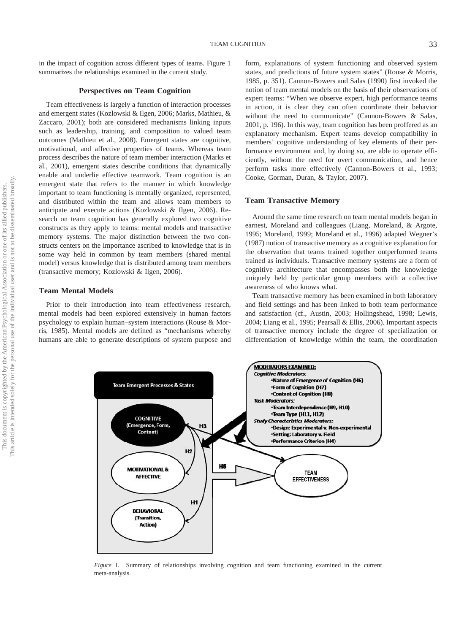in the impact of cognition across different types of teams. Figure 1 summarizes the relationships examined in the current study.

## **Perspectives on Team Cognition**

Team effectiveness is largely a function of interaction processes and emergent states (Kozlowski & Ilgen, 2006; Marks, Mathieu, & Zaccaro, 2001); both are considered mechanisms linking inputs such as leadership, training, and composition to valued team outcomes (Mathieu et al., 2008). Emergent states are cognitive, motivational, and affective properties of teams. Whereas team process describes the nature of team member interaction (Marks et al., 2001), emergent states describe conditions that dynamically enable and underlie effective teamwork. Team cognition is an emergent state that refers to the manner in which knowledge important to team functioning is mentally organized, represented, and distributed within the team and allows team members to anticipate and execute actions (Kozlowski & Ilgen, 2006). Research on team cognition has generally explored two cognitive constructs as they apply to teams: mental models and transactive memory systems. The major distinction between the two constructs centers on the importance ascribed to knowledge that is in some way held in common by team members (shared mental model) versus knowledge that is distributed among team members (transactive memory; Kozlowski & Ilgen, 2006).

## **Team Mental Models**

Prior to their introduction into team effectiveness research, mental models had been explored extensively in human factors psychology to explain human–system interactions (Rouse & Morris, 1985). Mental models are defined as "mechanisms whereby humans are able to generate descriptions of system purpose and

**Team Emergent Processes & States** 

**COGNITIVE** 

(Emergence, Form,

Content)

**MOTIVATIONAL &** 

**AFFECTIVE** 

form, explanations of system functioning and observed system states, and predictions of future system states" (Rouse & Morris, 1985, p. 351). Cannon-Bowers and Salas (1990) first invoked the notion of team mental models on the basis of their observations of expert teams: "When we observe expert, high performance teams in action, it is clear they can often coordinate their behavior without the need to communicate" (Cannon-Bowers & Salas, 2001, p. 196). In this way, team cognition has been proffered as an explanatory mechanism. Expert teams develop compatibility in members' cognitive understanding of key elements of their performance environment and, by doing so, are able to operate efficiently, without the need for overt communication, and hence perform tasks more effectively (Cannon-Bowers et al., 1993; Cooke, Gorman, Duran, & Taylor, 2007).

## **Team Transactive Memory**

**MODERATORS EXAMINED: Cognitive Moderators:** 

**Task Moderators:** 

\*Form of Cognition (H7) \*Content of Cognition (H8)

**Study Characteristics Moderators:** 

•Nature of Emergence of Cognition (H6)

\*Design: Experimental v. Non-experimental

·Team Interdependence (H9, H10) \*Team Type (H11, H12)

**TEAM** 

**EFFECTIVENESS** 

-Setting: Laboratory v. Field **•Performance Criterion (H4)** 

Around the same time research on team mental models began in earnest, Moreland and colleagues (Liang, Moreland, & Argote, 1995; Moreland, 1999; Moreland et al., 1996) adapted Wegner's (1987) notion of transactive memory as a cognitive explanation for the observation that teams trained together outperformed teams trained as individuals. Transactive memory systems are a form of cognitive architecture that encompasses both the knowledge uniquely held by particular group members with a collective awareness of who knows what.

Team transactive memory has been examined in both laboratory and field settings and has been linked to both team performance and satisfaction (cf., Austin, 2003; Hollingshead, 1998; Lewis, 2004; Liang et al., 1995; Pearsall & Ellis, 2006). Important aspects of transactive memory include the degree of specialization or differentiation of knowledge within the team, the coordination



H5

H<sub>3</sub>

 $H2$ 

*Figure 1.* Summary of relationships involving cognition and team functioning examined in the current meta-analysis.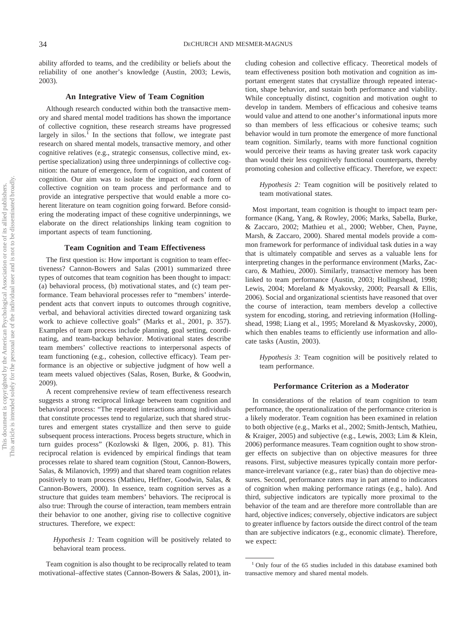ability afforded to teams, and the credibility or beliefs about the reliability of one another's knowledge (Austin, 2003; Lewis, 2003).

## **An Integrative View of Team Cognition**

Although research conducted within both the transactive memory and shared mental model traditions has shown the importance of collective cognition, these research streams have progressed largely in silos.<sup>1</sup> In the sections that follow, we integrate past research on shared mental models, transactive memory, and other cognitive relatives (e.g., strategic consensus, collective mind, expertise specialization) using three underpinnings of collective cognition: the nature of emergence, form of cognition, and content of cognition. Our aim was to isolate the impact of each form of collective cognition on team process and performance and to provide an integrative perspective that would enable a more coherent literature on team cognition going forward. Before considering the moderating impact of these cognitive underpinnings, we elaborate on the direct relationships linking team cognition to important aspects of team functioning.

## **Team Cognition and Team Effectiveness**

The first question is: How important is cognition to team effectiveness? Cannon-Bowers and Salas (2001) summarized three types of outcomes that team cognition has been thought to impact: (a) behavioral process, (b) motivational states, and (c) team performance. Team behavioral processes refer to "members' interdependent acts that convert inputs to outcomes through cognitive, verbal, and behavioral activities directed toward organizing task work to achieve collective goals" (Marks et al., 2001, p. 357). Examples of team process include planning, goal setting, coordinating, and team-backup behavior. Motivational states describe team members' collective reactions to interpersonal aspects of team functioning (e.g., cohesion, collective efficacy). Team performance is an objective or subjective judgment of how well a team meets valued objectives (Salas, Rosen, Burke, & Goodwin, 2009).

A recent comprehensive review of team effectiveness research suggests a strong reciprocal linkage between team cognition and behavioral process: "The repeated interactions among individuals that constitute processes tend to regularize, such that shared structures and emergent states crystallize and then serve to guide subsequent process interactions. Process begets structure, which in turn guides process" (Kozlowski & Ilgen, 2006, p. 81). This reciprocal relation is evidenced by empirical findings that team processes relate to shared team cognition (Stout, Cannon-Bowers, Salas, & Milanovich, 1999) and that shared team cognition relates positively to team process (Mathieu, Heffner, Goodwin, Salas, & Cannon-Bowers, 2000). In essence, team cognition serves as a structure that guides team members' behaviors. The reciprocal is also true: Through the course of interaction, team members entrain their behavior to one another, giving rise to collective cognitive structures. Therefore, we expect:

*Hypothesis 1:* Team cognition will be positively related to behavioral team process.

Team cognition is also thought to be reciprocally related to team motivational–affective states (Cannon-Bowers & Salas, 2001), including cohesion and collective efficacy. Theoretical models of team effectiveness position both motivation and cognition as important emergent states that crystallize through repeated interaction, shape behavior, and sustain both performance and viability. While conceptually distinct, cognition and motivation ought to develop in tandem. Members of efficacious and cohesive teams would value and attend to one another's informational inputs more so than members of less efficacious or cohesive teams; such behavior would in turn promote the emergence of more functional team cognition. Similarly, teams with more functional cognition would perceive their teams as having greater task work capacity than would their less cognitively functional counterparts, thereby promoting cohesion and collective efficacy. Therefore, we expect:

*Hypothesis 2:* Team cognition will be positively related to team motivational states.

Most important, team cognition is thought to impact team performance (Kang, Yang, & Rowley, 2006; Marks, Sabella, Burke, & Zaccaro, 2002; Mathieu et al., 2000; Webber, Chen, Payne, Marsh, & Zaccaro, 2000). Shared mental models provide a common framework for performance of individual task duties in a way that is ultimately compatible and serves as a valuable lens for interpreting changes in the performance environment (Marks, Zaccaro, & Mathieu, 2000). Similarly, transactive memory has been linked to team performance (Austin, 2003; Hollingshead, 1998; Lewis, 2004; Moreland & Myakovsky, 2000; Pearsall & Ellis, 2006). Social and organizational scientists have reasoned that over the course of interaction, team members develop a collective system for encoding, storing, and retrieving information (Hollingshead, 1998; Liang et al., 1995; Moreland & Myaskovsky, 2000), which then enables teams to efficiently use information and allocate tasks (Austin, 2003).

*Hypothesis 3:* Team cognition will be positively related to team performance.

## **Performance Criterion as a Moderator**

In considerations of the relation of team cognition to team performance, the operationalization of the performance criterion is a likely moderator. Team cognition has been examined in relation to both objective (e.g., Marks et al., 2002; Smith-Jentsch, Mathieu, & Kraiger, 2005) and subjective (e.g., Lewis, 2003; Lim & Klein, 2006) performance measures. Team cognition ought to show stronger effects on subjective than on objective measures for three reasons. First, subjective measures typically contain more performance-irrelevant variance (e.g., rater bias) than do objective measures. Second, performance raters may in part attend to indicators of cognition when making performance ratings (e.g., halo). And third, subjective indicators are typically more proximal to the behavior of the team and are therefore more controllable than are hard, objective indices; conversely, objective indicators are subject to greater influence by factors outside the direct control of the team than are subjective indicators (e.g., economic climate). Therefore, we expect:

<sup>&</sup>lt;sup>1</sup> Only four of the 65 studies included in this database examined both transactive memory and shared mental models.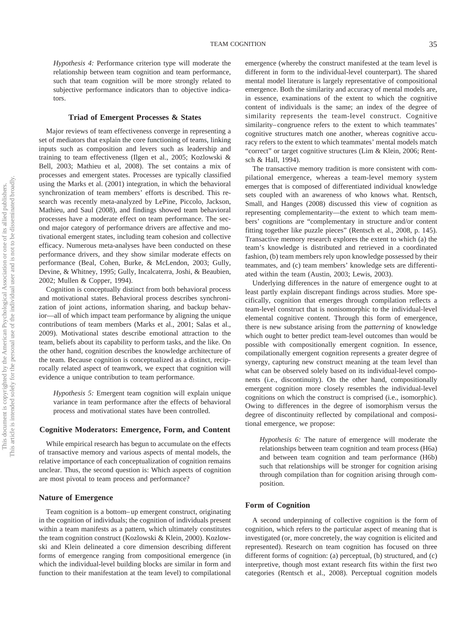*Hypothesis 4:* Performance criterion type will moderate the relationship between team cognition and team performance, such that team cognition will be more strongly related to subjective performance indicators than to objective indicators.

## **Triad of Emergent Processes & States**

Major reviews of team effectiveness converge in representing a set of mediators that explain the core functioning of teams, linking inputs such as composition and levers such as leadership and training to team effectiveness (Ilgen et al., 2005; Kozlowski & Bell, 2003; Mathieu et al, 2008). The set contains a mix of processes and emergent states. Processes are typically classified using the Marks et al. (2001) integration, in which the behavioral synchronization of team members' efforts is described. This research was recently meta-analyzed by LePine, Piccolo, Jackson, Mathieu, and Saul (2008), and findings showed team behavioral processes have a moderate effect on team performance. The second major category of performance drivers are affective and motivational emergent states, including team cohesion and collective efficacy. Numerous meta-analyses have been conducted on these performance drivers, and they show similar moderate effects on performance (Beal, Cohen, Burke, & McLendon, 2003; Gully, Devine, & Whitney, 1995; Gully, Incalcaterra, Joshi, & Beaubien, 2002; Mullen & Copper, 1994).

Cognition is conceptually distinct from both behavioral process and motivational states. Behavioral process describes synchronization of joint actions, information sharing, and backup behavior—all of which impact team performance by aligning the unique contributions of team members (Marks et al., 2001; Salas et al., 2009). Motivational states describe emotional attraction to the team, beliefs about its capability to perform tasks, and the like. On the other hand, cognition describes the knowledge architecture of the team. Because cognition is conceptualized as a distinct, reciprocally related aspect of teamwork, we expect that cognition will evidence a unique contribution to team performance.

*Hypothesis 5:* Emergent team cognition will explain unique variance in team performance after the effects of behavioral process and motivational states have been controlled.

## **Cognitive Moderators: Emergence, Form, and Content**

While empirical research has begun to accumulate on the effects of transactive memory and various aspects of mental models, the relative importance of each conceptualization of cognition remains unclear. Thus, the second question is: Which aspects of cognition are most pivotal to team process and performance?

## **Nature of Emergence**

Team cognition is a bottom– up emergent construct, originating in the cognition of individuals; the cognition of individuals present within a team manifests as a pattern, which ultimately constitutes the team cognition construct (Kozlowski & Klein, 2000). Kozlowski and Klein delineated a core dimension describing different forms of emergence ranging from compositional emergence (in which the individual-level building blocks are similar in form and function to their manifestation at the team level) to compilational emergence (whereby the construct manifested at the team level is different in form to the individual-level counterpart). The shared mental model literature is largely representative of compositional emergence. Both the similarity and accuracy of mental models are, in essence, examinations of the extent to which the cognitive content of individuals is the same; an index of the degree of similarity represents the team-level construct. Cognitive similarity–congruence refers to the extent to which teammates' cognitive structures match one another, whereas cognitive accuracy refers to the extent to which teammates' mental models match "correct" or target cognitive structures (Lim & Klein, 2006; Rentsch & Hall, 1994).

The transactive memory tradition is more consistent with compilational emergence, whereas a team-level memory system emerges that is composed of differentiated individual knowledge sets coupled with an awareness of who knows what. Rentsch, Small, and Hanges (2008) discussed this view of cognition as representing complementarity—the extent to which team members' cognitions are "complementary in structure and/or content fitting together like puzzle pieces" (Rentsch et al., 2008, p. 145). Transactive memory research explores the extent to which (a) the team's knowledge is distributed and retrieved in a coordinated fashion, (b) team members rely upon knowledge possessed by their teammates, and (c) team members' knowledge sets are differentiated within the team (Austin, 2003; Lewis, 2003).

Underlying differences in the nature of emergence ought to at least partly explain discrepant findings across studies. More specifically, cognition that emerges through compilation reflects a team-level construct that is nonisomorphic to the individual-level elemental cognitive content. Through this form of emergence, there is new substance arising from the *patterning* of knowledge which ought to better predict team-level outcomes than would be possible with compositionally emergent cognition. In essence, compilationally emergent cognition represents a greater degree of synergy, capturing new construct meaning at the team level than what can be observed solely based on its individual-level components (i.e., discontinuity). On the other hand, compositionally emergent cognition more closely resembles the individual-level cognitions on which the construct is comprised (i.e., isomorphic). Owing to differences in the degree of isomorphism versus the degree of discontinuity reflected by compilational and compositional emergence, we propose:

*Hypothesis 6:* The nature of emergence will moderate the relationships between team cognition and team process (H6a) and between team cognition and team performance (H6b) such that relationships will be stronger for cognition arising through compilation than for cognition arising through composition.

# **Form of Cognition**

A second underpinning of collective cognition is the form of cognition, which refers to the particular aspect of meaning that is investigated (or, more concretely, the way cognition is elicited and represented). Research on team cognition has focused on three different forms of cognition: (a) perceptual, (b) structured, and (c) interpretive, though most extant research fits within the first two categories (Rentsch et al., 2008). Perceptual cognition models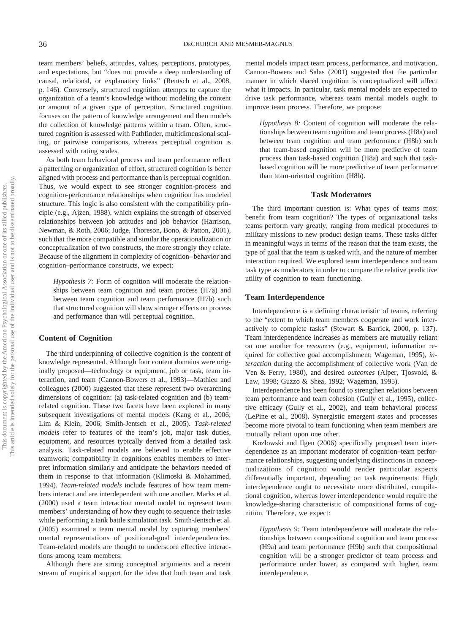team members' beliefs, attitudes, values, perceptions, prototypes, and expectations, but "does not provide a deep understanding of causal, relational, or explanatory links" (Rentsch et al., 2008, p. 146). Conversely, structured cognition attempts to capture the organization of a team's knowledge without modeling the content or amount of a given type of perception. Structured cognition focuses on the pattern of knowledge arrangement and then models the collection of knowledge patterns within a team. Often, structured cognition is assessed with Pathfinder, multidimensional scaling, or pairwise comparisons, whereas perceptual cognition is assessed with rating scales.

As both team behavioral process and team performance reflect a patterning or organization of effort, structured cognition is better aligned with process and performance than is perceptual cognition. Thus, we would expect to see stronger cognition-process and cognition-performance relationships when cognition has modeled structure. This logic is also consistent with the compatibility principle (e.g., Ajzen, 1988), which explains the strength of observed relationships between job attitudes and job behavior (Harrison, Newman, & Roth, 2006; Judge, Thoreson, Bono, & Patton, 2001), such that the more compatible and similar the operationalization or conceptualization of two constructs, the more strongly they relate. Because of the alignment in complexity of cognition– behavior and cognition–performance constructs, we expect:

*Hypothesis 7:* Form of cognition will moderate the relationships between team cognition and team process (H7a) and between team cognition and team performance (H7b) such that structured cognition will show stronger effects on process and performance than will perceptual cognition.

## **Content of Cognition**

The third underpinning of collective cognition is the content of knowledge represented. Although four content domains were originally proposed—technology or equipment, job or task, team interaction, and team (Cannon-Bowers et al., 1993)—Mathieu and colleagues (2000) suggested that these represent two overarching dimensions of cognition: (a) task-related cognition and (b) teamrelated cognition. These two facets have been explored in many subsequent investigations of mental models (Kang et al., 2006; Lim & Klein, 2006; Smith-Jentsch et al., 2005). *Task-related models* refer to features of the team's job, major task duties, equipment, and resources typically derived from a detailed task analysis. Task-related models are believed to enable effective teamwork; compatibility in cognitions enables members to interpret information similarly and anticipate the behaviors needed of them in response to that information (Klimoski & Mohammed, 1994). *Team-related models* include features of how team members interact and are interdependent with one another. Marks et al. (2000) used a team interaction mental model to represent team members' understanding of how they ought to sequence their tasks while performing a tank battle simulation task. Smith-Jentsch et al. (2005) examined a team mental model by capturing members' mental representations of positional-goal interdependencies. Team-related models are thought to underscore effective interactions among team members.

Although there are strong conceptual arguments and a recent stream of empirical support for the idea that both team and task mental models impact team process, performance, and motivation, Cannon-Bowers and Salas (2001) suggested that the particular manner in which shared cognition is conceptualized will affect what it impacts. In particular, task mental models are expected to drive task performance, whereas team mental models ought to improve team process. Therefore, we propose:

*Hypothesis 8:* Content of cognition will moderate the relationships between team cognition and team process (H8a) and between team cognition and team performance (H8b) such that team-based cognition will be more predictive of team process than task-based cognition (H8a) and such that taskbased cognition will be more predictive of team performance than team-oriented cognition (H8b).

## **Task Moderators**

The third important question is: What types of teams most benefit from team cognition? The types of organizational tasks teams perform vary greatly, ranging from medical procedures to military missions to new product design teams. These tasks differ in meaningful ways in terms of the reason that the team exists, the type of goal that the team is tasked with, and the nature of member interaction required. We explored team interdependence and team task type as moderators in order to compare the relative predictive utility of cognition to team functioning.

#### **Team Interdependence**

Interdependence is a defining characteristic of teams, referring to the "extent to which team members cooperate and work interactively to complete tasks" (Stewart & Barrick, 2000, p. 137). Team interdependence increases as members are mutually reliant on one another for *resources* (e.g., equipment, information required for collective goal accomplishment; Wageman, 1995), *interaction* during the accomplishment of collective work (Van de Ven & Ferry, 1980), and desired *outcomes* (Alper, Tjosvold, & Law, 1998; Guzzo & Shea, 1992; Wageman, 1995).

Interdependence has been found to strengthen relations between team performance and team cohesion (Gully et al., 1995), collective efficacy (Gully et al., 2002), and team behavioral process (LePine et al., 2008). Synergistic emergent states and processes become more pivotal to team functioning when team members are mutually reliant upon one other.

Kozlowski and Ilgen (2006) specifically proposed team interdependence as an important moderator of cognition–team performance relationships, suggesting underlying distinctions in conceptualizations of cognition would render particular aspects differentially important, depending on task requirements. High interdependence ought to necessitate more distributed, compilational cognition, whereas lower interdependence would require the knowledge-sharing characteristic of compositional forms of cognition. Therefore, we expect:

*Hypothesis 9:* Team interdependence will moderate the relationships between compositional cognition and team process (H9a) and team performance (H9b) such that compositional cognition will be a stronger predictor of team process and performance under lower, as compared with higher, team interdependence.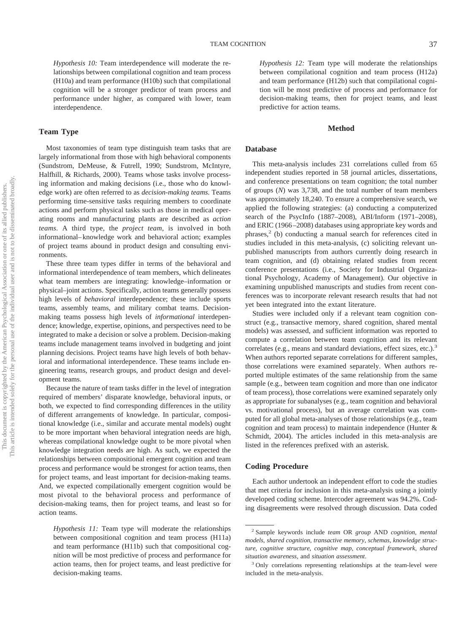*Hypothesis 10:* Team interdependence will moderate the relationships between compilational cognition and team process (H10a) and team performance (H10b) such that compilational cognition will be a stronger predictor of team process and performance under higher, as compared with lower, team interdependence.

# **Team Type**

Most taxonomies of team type distinguish team tasks that are largely informational from those with high behavioral components (Sundstrom, DeMeuse, & Futrell, 1990; Sundstrom, McIntyre, Halfhill, & Richards, 2000). Teams whose tasks involve processing information and making decisions (i.e., those who do knowledge work) are often referred to as *decision-making teams*. Teams performing time-sensitive tasks requiring members to coordinate actions and perform physical tasks such as those in medical operating rooms and manufacturing plants are described as *action teams*. A third type, the *project team*, is involved in both informational– knowledge work and behavioral action; examples of project teams abound in product design and consulting environments.

These three team types differ in terms of the behavioral and informational interdependence of team members, which delineates what team members are integrating: knowledge–information or physical–joint actions. Specifically, action teams generally possess high levels of *behavioral* interdependence; these include sports teams, assembly teams, and military combat teams. Decisionmaking teams possess high levels of *informational* interdependence; knowledge, expertise, opinions, and perspectives need to be integrated to make a decision or solve a problem. Decision-making teams include management teams involved in budgeting and joint planning decisions. Project teams have high levels of both behavioral and informational interdependence. These teams include engineering teams, research groups, and product design and development teams.

Because the nature of team tasks differ in the level of integration required of members' disparate knowledge, behavioral inputs, or both, we expected to find corresponding differences in the utility of different arrangements of knowledge. In particular, compositional knowledge (i.e., similar and accurate mental models) ought to be more important when behavioral integration needs are high, whereas compilational knowledge ought to be more pivotal when knowledge integration needs are high. As such, we expected the relationships between compositional emergent cognition and team process and performance would be strongest for action teams, then for project teams, and least important for decision-making teams. And, we expected compilationally emergent cognition would be most pivotal to the behavioral process and performance of decision-making teams, then for project teams, and least so for action teams.

*Hypothesis 11:* Team type will moderate the relationships between compositional cognition and team process (H11a) and team performance (H11b) such that compositional cognition will be most predictive of process and performance for action teams, then for project teams, and least predictive for decision-making teams.

*Hypothesis 12:* Team type will moderate the relationships between compilational cognition and team process (H12a) and team performance (H12b) such that compilational cognition will be most predictive of process and performance for decision-making teams, then for project teams, and least predictive for action teams.

## **Method**

## **Database**

This meta-analysis includes 231 correlations culled from 65 independent studies reported in 58 journal articles, dissertations, and conference presentations on team cognition; the total number of groups (*N*) was 3,738, and the total number of team members was approximately 18,240. To ensure a comprehensive search, we applied the following strategies: (a) conducting a computerized search of the PsycInfo (1887–2008), ABI/Inform (1971–2008), and ERIC (1966 –2008) databases using appropriate key words and phrases,<sup>2</sup> (b) conducting a manual search for references cited in studies included in this meta-analysis, (c) soliciting relevant unpublished manuscripts from authors currently doing research in team cognition, and (d) obtaining related studies from recent conference presentations (i.e., Society for Industrial Organizational Psychology, Academy of Management). Our objective in examining unpublished manuscripts and studies from recent conferences was to incorporate relevant research results that had not yet been integrated into the extant literature.

Studies were included only if a relevant team cognition construct (e.g., transactive memory, shared cognition, shared mental models) was assessed, and sufficient information was reported to compute a correlation between team cognition and its relevant correlates (e.g., means and standard deviations, effect sizes, etc.).<sup>3</sup> When authors reported separate correlations for different samples, those correlations were examined separately. When authors reported multiple estimates of the same relationship from the same sample (e.g., between team cognition and more than one indicator of team process), those correlations were examined separately only as appropriate for subanalyses (e.g., team cognition and behavioral vs. motivational process), but an average correlation was computed for all global meta-analyses of those relationships (e.g., team cognition and team process) to maintain independence (Hunter & Schmidt, 2004). The articles included in this meta-analysis are listed in the references prefixed with an asterisk.

## **Coding Procedure**

Each author undertook an independent effort to code the studies that met criteria for inclusion in this meta-analysis using a jointly developed coding scheme. Intercoder agreement was 94.2%. Coding disagreements were resolved through discussion. Data coded

<sup>2</sup> Sample keywords include *team* OR *group* AND *cognition*, *mental models*, *shared cognition*, *transactive memory*, *schemas*, *knowledge structure*, *cognitive structure*, *cognitive map*, *conceptual framework*, *shared situation awareness,* and *situation assessment*.

<sup>&</sup>lt;sup>3</sup> Only correlations representing relationships at the team-level were included in the meta-analysis.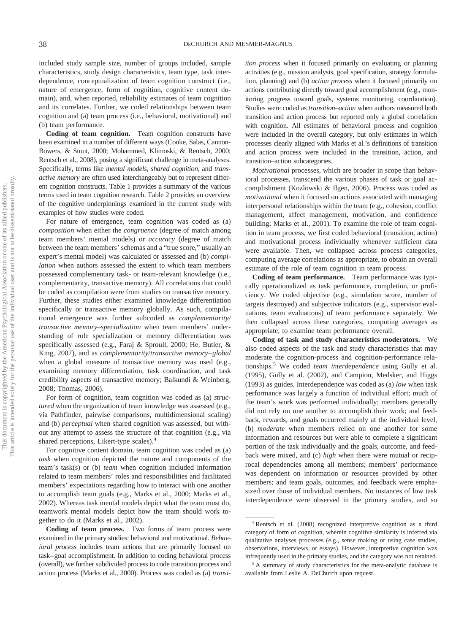included study sample size, number of groups included, sample characteristics, study design characteristics, team type, task interdependence, conceptualization of team cognition construct (i.e., nature of emergence, form of cognition, cognitive content domain), and, when reported, reliability estimates of team cognition and its correlates. Further, we coded relationships between team cognition and (a) team process (i.e., behavioral, motivational) and (b) team performance.

**Coding of team cognition.** Team cognition constructs have been examined in a number of different ways (Cooke, Salas, Cannon-Bowers, & Stout, 2000; Mohammed, Klimoski, & Rentsch, 2000; Rentsch et al., 2008), posing a significant challenge in meta-analyses. Specifically, terms like *mental models*, *shared cognition*, and *transactive memory* are often used interchangeably but to represent different cognition constructs. Table 1 provides a summary of the various terms used in team cognition research. Table 2 provides an overview of the cognitive underpinnings examined in the current study with examples of how studies were coded.

For nature of emergence, team cognition was coded as (a) *composition* when either the *congruence* (degree of match among team members' mental models) or *accuracy* (degree of match between the team members' schemas and a "true score," usually an expert's mental model) was calculated or assessed and (b) *compilation* when authors assessed the extent to which team members possessed complementary task- or team-relevant knowledge (i.e., complementarity, transactive memory). All correlations that could be coded as compilation were from studies on transactive memory. Further, these studies either examined knowledge differentiation specifically or transactive memory globally. As such, compilational emergence was further subcoded as *complementarity/ transactive memory–specialization* when team members' understanding of role specialization or memory differentiation was specifically assessed (e.g., Faraj & Sproull, 2000; He, Butler, & King, 2007), and as *complementarity*/*transactive memory– global* when a global measure of transactive memory was used (e.g., examining memory differentiation, task coordination, and task credibility aspects of transactive memory; Balkundi & Weinberg, 2008; Thomas, 2006).

For form of cognition, team cognition was coded as (a) *structured* when the organization of team knowledge was assessed (e.g., via Pathfinder, pairwise comparisons, multidimensional scaling) and (b) *perceptual* when shared cognition was assessed, but without any attempt to assess the structure of that cognition (e.g., via shared perceptions, Likert-type scales).<sup>4</sup>

For cognitive content domain, team cognition was coded as (a) *task* when cognition depicted the nature and components of the team's task(s) or (b) *team* when cognition included information related to team members' roles and responsibilities and facilitated members' expectations regarding how to interact with one another to accomplish team goals (e.g., Marks et al., 2000; Marks et al., 2002). Whereas task mental models depict what the team must do, teamwork mental models depict how the team should work together to do it (Marks et al., 2002).

**Coding of team process.** Two forms of team process were examined in the primary studies: behavioral and motivational. *Behavioral process* includes team actions that are primarily focused on task– goal accomplishment. In addition to coding behavioral process (overall), we further subdivided process to code transition process and action process (Marks et al., 2000). Process was coded as (a) *transi-* *tion process* when it focused primarily on evaluating or planning activities (e.g., mission analysis, goal specification, strategy formulation, planning) and (b) *action process* when it focused primarily on actions contributing directly toward goal accomplishment (e.g., monitoring progress toward goals, systems monitoring, coordination). Studies were coded as *transition–action* when authors measured both transition and action process but reported only a global correlation with cognition. All estimates of behavioral process and cognition were included in the overall category, but only estimates in which processes clearly aligned with Marks et al.'s definitions of transition and action process were included in the transition, action, and transition–action subcategories.

*Motivational* processes, which are broader in scope than behavioral processes, transcend the various phases of task or goal accomplishment (Kozlowski & Ilgen, 2006). Process was coded as *motivational* when it focused on actions associated with managing interpersonal relationships within the team (e.g., cohesion, conflict management, affect management, motivation, and confidence building; Marks et al., 2001). To examine the role of team cognition in team process, we first coded behavioral (transition, action) and motivational process individually whenever sufficient data were available. Then, we collapsed across process categories, computing average correlations as appropriate, to obtain an overall estimate of the role of team cognition in team process.

**Coding of team performance.** Team performance was typically operationalized as task performance, completion, or proficiency. We coded objective (e.g., simulation score, number of targets destroyed) and subjective indicators (e.g., supervisor evaluations, team evaluations) of team performance separately. We then collapsed across these categories, computing averages as appropriate, to examine team performance overall.

**Coding of task and study characteristics moderators.** We also coded aspects of the task and study characteristics that may moderate the cognition-process and cognition-performance relationships.5 We coded *team interdependence* using Gully et al. (1995), Gully et al. (2002), and Campion, Medsker, and Higgs (1993) as guides. Interdependence was coded as (a) *low* when task performance was largely a function of individual effort; much of the team's work was performed individually; members generally did not rely on one another to accomplish their work; and feedback, rewards, and goals occurred mainly at the individual level, (b) *moderate* when members relied on one another for some information and resources but were able to complete a significant portion of the task individually and the goals, outcome, and feedback were mixed, and (c) *high* when there were mutual or reciprocal dependencies among all members; members' performance was dependent on information or resources provided by other members; and team goals, outcomes, and feedback were emphasized over those of individual members. No instances of low task interdependence were observed in the primary studies, and so

<sup>4</sup> Rentsch et al. (2008) recognized interpretive cognition as a third category of form of cognition, wherein cognitive similarity is inferred via qualitative analyses processes (e.g., sense making or using case studies, observations, interviews, or essays). However, interpretive cognition was infrequently used in the primary studies, and the category was not retained.

<sup>5</sup> A summary of study characteristics for the meta-analytic database is available from Leslie A. DeChurch upon request.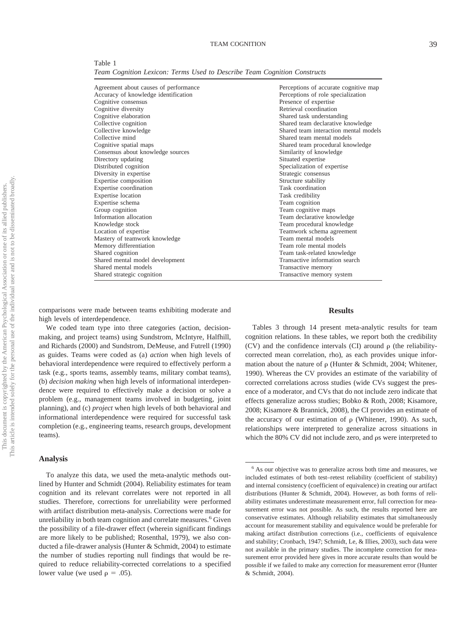#### TEAM COGNITION 39

Table 1

*Team Cognition Lexicon: Terms Used to Describe Team Cognition Constructs*

| Agreement about causes of performance | Perceptions of accurate cognitive map |
|---------------------------------------|---------------------------------------|
| Accuracy of knowledge identification  | Perceptions of role specialization    |
| Cognitive consensus                   | Presence of expertise                 |
| Cognitive diversity                   | Retrieval coordination                |
| Cognitive elaboration                 | Shared task understanding             |
| Collective cognition                  | Shared team declarative knowledge     |
| Collective knowledge                  | Shared team interaction mental models |
| Collective mind                       | Shared team mental models             |
| Cognitive spatial maps                | Shared team procedural knowledge      |
| Consensus about knowledge sources     | Similarity of knowledge               |
| Directory updating                    | Situated expertise                    |
| Distributed cognition                 | Specialization of expertise           |
| Diversity in expertise                | Strategic consensus                   |
| Expertise composition                 | Structure stability                   |
| Expertise coordination                | Task coordination                     |
| Expertise location                    | Task credibility                      |
| Expertise schema                      | Team cognition                        |
| Group cognition                       | Team cognitive maps                   |
| Information allocation                | Team declarative knowledge            |
| Knowledge stock                       | Team procedural knowledge             |
| Location of expertise                 | Teamwork schema agreement             |
| Mastery of teamwork knowledge         | Team mental models                    |
| Memory differentiation                | Team role mental models               |
| Shared cognition                      | Team task-related knowledge           |
| Shared mental model development       | Transactive information search        |
| Shared mental models                  | Transactive memory                    |
| Shared strategic cognition            | Transactive memory system             |

comparisons were made between teams exhibiting moderate and high levels of interdependence.

We coded team type into three categories (action, decisionmaking, and project teams) using Sundstrom, McIntyre, Halfhill, and Richards (2000) and Sundstrom, DeMeuse, and Futrell (1990) as guides. Teams were coded as (a) *action* when high levels of behavioral interdependence were required to effectively perform a task (e.g., sports teams, assembly teams, military combat teams), (b) *decision making* when high levels of informational interdependence were required to effectively make a decision or solve a problem (e.g., management teams involved in budgeting, joint planning), and (c) *project* when high levels of both behavioral and informational interdependence were required for successful task completion (e.g., engineering teams, research groups, development teams).

#### **Analysis**

To analyze this data, we used the meta-analytic methods outlined by Hunter and Schmidt (2004). Reliability estimates for team cognition and its relevant correlates were not reported in all studies. Therefore, corrections for unreliability were performed with artifact distribution meta-analysis. Corrections were made for unreliability in both team cognition and correlate measures.<sup>6</sup> Given the possibility of a file-drawer effect (wherein significant findings are more likely to be published; Rosenthal, 1979), we also conducted a file-drawer analysis (Hunter & Schmidt, 2004) to estimate the number of studies reporting null findings that would be required to reduce reliability-corrected correlations to a specified lower value (we used  $\rho = .05$ ).

## **Results**

Tables 3 through 14 present meta-analytic results for team cognition relations. In these tables, we report both the credibility (CV) and the confidence intervals (CI) around  $\rho$  (the reliabilitycorrected mean correlation, rho), as each provides unique information about the nature of  $\rho$  (Hunter & Schmidt, 2004; Whitener, 1990). Whereas the CV provides an estimate of the variability of corrected correlations across studies (wide CVs suggest the presence of a moderator, and CVs that do not include zero indicate that effects generalize across studies; Bobko & Roth, 2008; Kisamore, 2008; Kisamore & Brannick, 2008), the CI provides an estimate of the accuracy of our estimation of  $\rho$  (Whitener, 1990). As such, relationships were interpreted to generalize across situations in which the 80% CV did not include zero, and  $\rho s$  were interpreted to

 $6$  As our objective was to generalize across both time and measures, we included estimates of both test–retest reliability (coefficient of stability) and internal consistency (coefficient of equivalence) in creating our artifact distributions (Hunter & Schmidt, 2004). However, as both forms of reliability estimates underestimate measurement error, full correction for measurement error was not possible. As such, the results reported here are conservative estimates. Although reliability estimates that simultaneously account for measurement stability and equivalence would be preferable for making artifact distribution corrections (i.e., coefficients of equivalence and stability; Cronbach, 1947; Schmidt, Le, & Illies, 2003), such data were not available in the primary studies. The incomplete correction for measurement error provided here gives in more accurate results than would be possible if we failed to make any correction for measurement error (Hunter & Schmidt, 2004).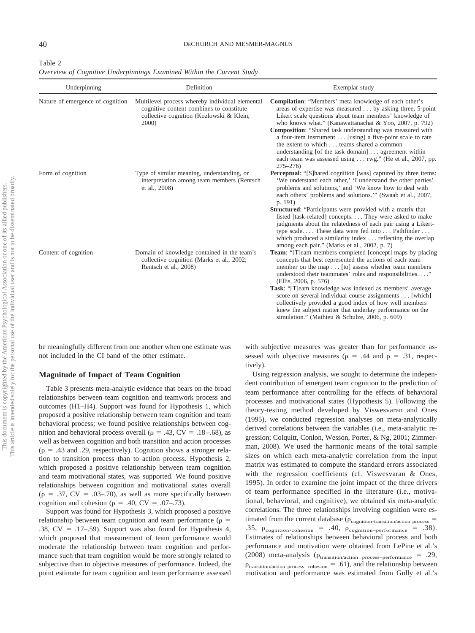| Table 2                                                               |  |  |
|-----------------------------------------------------------------------|--|--|
| Overview of Cognitive Underpinnings Examined Within the Current Study |  |  |

| Underpinning                     | Definition                                                                                                                                       | Exemplar study                                                                                                                                                                                                                                                                                                                                                                                                                                                                                                                                                                                                                            |
|----------------------------------|--------------------------------------------------------------------------------------------------------------------------------------------------|-------------------------------------------------------------------------------------------------------------------------------------------------------------------------------------------------------------------------------------------------------------------------------------------------------------------------------------------------------------------------------------------------------------------------------------------------------------------------------------------------------------------------------------------------------------------------------------------------------------------------------------------|
| Nature of emergence of cognition | Multilevel process whereby individual elemental<br>cognitive content combines to constitute<br>collective cognition (Kozlowski & Klein,<br>2000) | <b>Compilation:</b> "Members' meta knowledge of each other's<br>areas of expertise was measured by asking three, 5-point<br>Likert scale questions about team members' knowledge of<br>who knows what." (Kanawattanachai & Yoo, 2007, p. 792)<br><b>Composition:</b> "Shared task understanding was measured with<br>a four-item instrument [using] a five-point scale to rate<br>the extent to which teams shared a common<br>understanding [of the task domain]  agreement within<br>each team was assessed using rwg." (He et al., 2007, pp.<br>$275 - 276$                                                                            |
| Form of cognition                | Type of similar meaning, understanding, or<br>interpretation among team members (Rentsch<br>et al., 2008)                                        | <b>Perceptual:</b> "[S] hared cognition [was] captured by three items:<br>'We understand each other,' 'I understand the other parties'<br>problems and solutions,' and 'We know how to deal with<br>each others' problems and solutions."" (Swaab et al., 2007,<br>p. 191)<br><b>Structured:</b> "Participants were provided with a matrix that<br>listed [task-related] concepts They were asked to make<br>judgments about the relatedness of each pair using a Likert-<br>type scale These data were fed into  Pathfinder<br>which produced a similarity index  reflecting the overlap<br>among each pair." (Marks et al., 2002, p. 7) |
| Content of cognition             | Domain of knowledge contained in the team's<br>collective cognition (Marks et al., 2002;<br>Rentsch et al., 2008)                                | <b>Team:</b> "[T]eam members completed [concept] maps by placing<br>concepts that best represented the actions of each team<br>member on the map [to] assess whether team members<br>understood their teammates' roles and responsibilities"<br>(Ellis, 2006, p. 576)<br>Task: "[T]eam knowledge was indexed as members' average<br>score on several individual course assignments [which]<br>collectively provided a good index of how well members<br>knew the subject matter that underlay performance on the<br>simulation." (Mathieu & Schulze, 2006, p. 609)                                                                        |

be meaningfully different from one another when one estimate was not included in the CI band of the other estimate.

## **Magnitude of Impact of Team Cognition**

Table 3 presents meta-analytic evidence that bears on the broad relationships between team cognition and teamwork process and outcomes (H1–H4). Support was found for Hypothesis 1, which proposed a positive relationship between team cognition and team behavioral process; we found positive relationships between cognition and behavioral process overall ( $\rho = .43$ , CV = .18–.68), as well as between cognition and both transition and action processes  $(\rho = .43$  and .29, respectively). Cognition shows a stronger relation to transition process than to action process. Hypothesis 2, which proposed a positive relationship between team cognition and team motivational states, was supported. We found positive relationships between cognition and motivational states overall  $(p = .37, CV = .03-.70)$ , as well as more specifically between cognition and cohesion ( $\rho = .40$ , CV = .07-.73).

Support was found for Hypothesis 3, which proposed a positive relationship between team cognition and team performance ( $\rho =$ .38,  $CV = .17-0.59$ . Support was also found for Hypothesis 4, which proposed that measurement of team performance would moderate the relationship between team cognition and performance such that team cognition would be more strongly related to subjective than to objective measures of performance. Indeed, the point estimate for team cognition and team performance assessed

with subjective measures was greater than for performance assessed with objective measures ( $\rho = .44$  and  $\rho = .31$ , respectively).

Using regression analysis, we sought to determine the independent contribution of emergent team cognition to the prediction of team performance after controlling for the effects of behavioral processes and motivational states (Hypothesis 5). Following the theory-testing method developed by Viswesvaran and Ones (1995), we conducted regression analyses on meta-analytically derived correlations between the variables (i.e., meta-analytic regression; Colquitt, Conlon, Wesson, Porter, & Ng, 2001; Zimmerman, 2008). We used the harmonic means of the total sample sizes on which each meta-analytic correlation from the input matrix was estimated to compute the standard errors associated with the regression coefficients (cf. Viswesvaran & Ones, 1995). In order to examine the joint impact of the three drivers of team performance specified in the literature (i.e., motivational, behavioral, and cognitive), we obtained six meta-analytic correlations. The three relationships involving cognition were estimated from the current database ( $\rho_{cognition-transition/action process}$  = .35,  $\rho_{cognition-cohesion} = .40, \rho_{cognition-performance} = .38)$ . Estimates of relationships between behavioral process and both performance and motivation were obtained from LePine et al.'s (2008) meta-analysis ( $\rho_{transition/action}$  process-performance = .29,  $\rho_{transition/action process-cohesion} = .61$ , and the relationship between motivation and performance was estimated from Gully et al.'s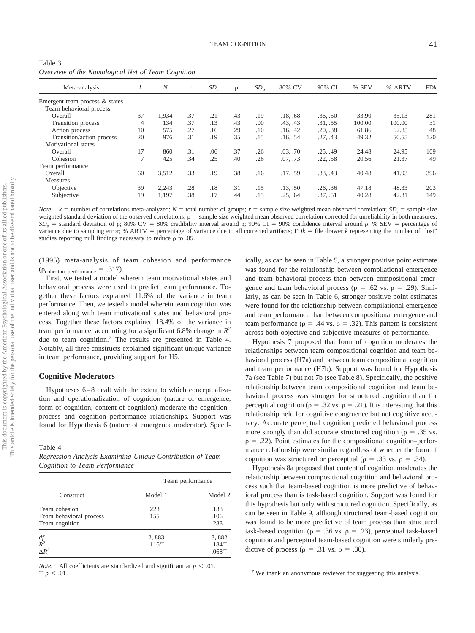| Meta-analysis                  | $\boldsymbol{k}$ | N     | $\boldsymbol{r}$ | $SD_r$ | $\rho$ | $SD_{\rho}$ | 80% CV   | 90% CI   | % SEV  | % ARTV | <b>FD</b> |
|--------------------------------|------------------|-------|------------------|--------|--------|-------------|----------|----------|--------|--------|-----------|
| Emergent team process & states |                  |       |                  |        |        |             |          |          |        |        |           |
| Team behavioral process        |                  |       |                  |        |        |             |          |          |        |        |           |
| Overall                        | 37               | 1.934 | .37              | .21    | .43    | .19         | .18, .68 | .36, .50 | 33.90  | 35.13  | 281       |
| Transition process             | $\overline{4}$   | 134   | .37              | .13    | .43    | .00         | .43, .43 | .31, .55 | 100.00 | 100.00 | 31        |
| Action process                 | 10               | 575   | .27              | .16    | .29    | .10         | .16, .42 | .20, .38 | 61.86  | 62.85  | 48        |
| Transition/action process      | 20               | 976   | .31              | .19    | .35    | .15         | .16, .54 | .27, .43 | 49.32  | 50.55  | 120       |
| Motivational states            |                  |       |                  |        |        |             |          |          |        |        |           |
| Overall                        | 17               | 860   | .31              | .06    | .37    | .26         | .03. .70 | .25, .49 | 24.48  | 24.95  | 109       |
| Cohesion                       | $\overline{7}$   | 425   | .34              | .25    | .40    | .26         | .07, .73 | .22, .58 | 20.56  | 21.37  | 49        |
| Team performance               |                  |       |                  |        |        |             |          |          |        |        |           |
| Overall                        | 60               | 3,512 | .33              | .19    | .38    | .16         | .17, .59 | .33, .43 | 40.48  | 41.93  | 396       |
| Measures                       |                  |       |                  |        |        |             |          |          |        |        |           |
| Objective                      | 39               | 2.243 | .28              | .18    | .31    | .15         | .13, .50 | .26, .36 | 47.18  | 48.33  | 203       |
| Subjective                     | 19               | 1,197 | .38              | .17    | .44    | .15         | .25, .64 | .37, .51 | 40.28  | 42.31  | 149       |

Table 3 *Overview of the Nomological Net of Team Cognition*

*Note.*  $k =$  number of correlations meta-analyzed;  $N =$  total number of groups;  $r =$  sample size weighted mean observed correlation;  $SD_r =$  sample size weighted standard deviation of the observed correlations;  $\rho =$  sample size weighted mean observed correlation corrected for unreliability in both measures;  $SD<sub>p</sub>$  = standard deviation of  $\rho$ ; 80% CV = 80% credibility interval around  $\rho$ ; 90% CI = 90% confidence interval around  $\rho$ ; % SEV = percentage of variance due to sampling error; % ARTV = percentage of variance due to all corrected artifacts;  $FDk =$  file drawer  $k$  representing the number of "lost" studies reporting null findings necessary to reduce  $\rho$  to .05.

(1995) meta-analysis of team cohesion and performance  $(\rho_{\text{cohesion–performance}} = .317).$ 

First, we tested a model wherein team motivational states and behavioral process were used to predict team performance. Together these factors explained 11.6% of the variance in team performance. Then, we tested a model wherein team cognition was entered along with team motivational states and behavioral process. Together these factors explained 18.4% of the variance in team performance, accounting for a significant 6.8% change in  $R^2$ due to team cognition.<sup>7</sup> The results are presented in Table 4. Notably, all three constructs explained significant unique variance in team performance, providing support for H5.

#### **Cognitive Moderators**

Hypotheses  $6-8$  dealt with the extent to which conceptualization and operationalization of cognition (nature of emergence, form of cognition, content of cognition) moderate the cognition– process and cognition–performance relationships. Support was found for Hypothesis 6 (nature of emergence moderator). Specif-

#### Table 4

*Regression Analysis Examining Unique Contribution of Team Cognition to Team Performance*

|                                                            | Team performance   |                                |  |  |  |  |
|------------------------------------------------------------|--------------------|--------------------------------|--|--|--|--|
| Construct                                                  | Model 1            | Model 2                        |  |  |  |  |
| Team cohesion<br>Team behavioral process<br>Team cognition | .223<br>.155       | .138<br>.106<br>.288           |  |  |  |  |
| $\frac{df}{R^2}$<br>$\Delta R^2$                           | 2,883<br>$.116***$ | 3,882<br>$.184***$<br>$.068**$ |  |  |  |  |

*Note.* All coefficients are standardized and significant at  $p < .01$ .<br><sup>\*\*</sup>  $p < .01$ .

ically, as can be seen in Table 5, a stronger positive point estimate was found for the relationship between compilational emergence and team behavioral process than between compositional emergence and team behavioral process ( $\rho = .62$  vs.  $\rho = .29$ ). Similarly, as can be seen in Table 6, stronger positive point estimates were found for the relationship between compilational emergence and team performance than between compositional emergence and team performance ( $\rho = .44$  vs.  $\rho = .32$ ). This pattern is consistent across both objective and subjective measures of performance.

Hypothesis 7 proposed that form of cognition moderates the relationships between team compositional cognition and team behavioral process (H7a) and between team compositional cognition and team performance (H7b). Support was found for Hypothesis 7a (see Table 7) but not 7b (see Table 8). Specifically, the positive relationship between team compositional cognition and team behavioral process was stronger for structured cognition than for perceptual cognition ( $\rho = .32$  vs.  $\rho = .21$ ). It is interesting that this relationship held for cognitive congruence but not cognitive accuracy. Accurate perceptual cognition predicted behavioral process more strongly than did accurate structured cognition ( $\rho = .35$  vs.  $\rho = .22$ ). Point estimates for the compositional cognition–performance relationship were similar regardless of whether the form of cognition was structured or perceptual ( $\rho = .33$  vs.  $\rho = .34$ ).

Hypothesis 8a proposed that content of cognition moderates the relationship between compositional cognition and behavioral process such that team-based cognition is more predictive of behavioral process than is task-based cognition. Support was found for this hypothesis but only with structured cognition. Specifically, as can be seen in Table 9, although structured team-based cognition was found to be more predictive of team process than structured task-based cognition ( $\rho = .36$  vs.  $\rho = .23$ ), perceptual task-based cognition and perceptual team-based cognition were similarly predictive of process ( $\rho = .31$  vs.  $\rho = .30$ ).

<sup>7</sup> We thank an anonymous reviewer for suggesting this analysis.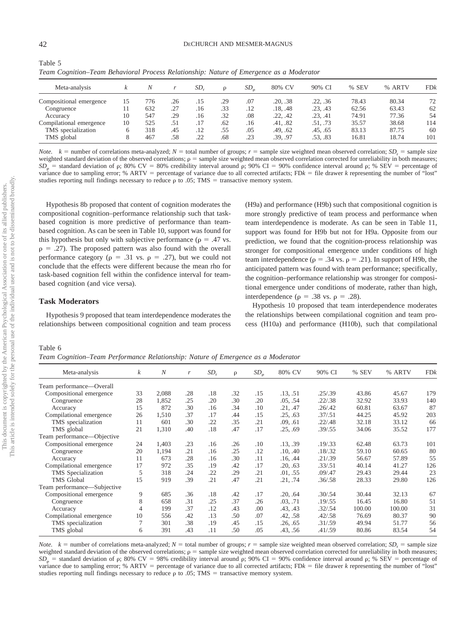| ٠ |
|---|
| ٠ |

| Table 5                                                                                 |  |
|-----------------------------------------------------------------------------------------|--|
| Team Cognition–Team Behavioral Process Relationship: Nature of Emergence as a Moderator |  |

| Meta-analysis           |    |     |     | SD. |     | SD <sub>0</sub> | 80% CV   | 90% CI   | % SEV | % ARTV | <b>FD</b> |
|-------------------------|----|-----|-----|-----|-----|-----------------|----------|----------|-------|--------|-----------|
| Compositional emergence | 15 | 776 | .26 | .15 | .29 | .07             | .20. .38 | .22, .36 | 78.43 | 80.34  | 72        |
| Congruence              |    | 632 | .27 | .16 | .33 | .12             | .18.48   | .23, .43 | 62.56 | 63.43  | 62        |
| Accuracy                | 10 | 547 | .29 | .16 | .32 | .08             | .22. .42 | .23, .41 | 74.91 | 77.36  | 54        |
| Compilational emergence | 10 | 525 | .51 | .17 | .62 | .16             | .4182    | .51, .73 | 35.57 | 38.68  | 114       |
| TMS specialization      |    | 318 | .45 | .12 | .55 | .05             | .49. .62 | .45, .65 | 83.13 | 87.75  | 60        |
| TMS global              |    | 467 | .58 | .22 | .68 | .23             | .3997    | .53, .83 | 16.81 | 18.74  | 101       |
|                         |    |     |     |     |     |                 |          |          |       |        |           |

*Note.*  $k =$  number of correlations meta-analyzed;  $N =$  total number of groups;  $r =$  sample size weighted mean observed correlation;  $SD_r =$  sample size weighted standard deviation of the observed correlations;  $\rho =$  sample size weighted mean observed correlation corrected for unreliability in both measures;  $SD<sub>p</sub>$  = standard deviation of  $\rho$ ; 80% CV = 80% credibility interval around  $\rho$ ; 90% CI = 90% confidence interval around  $\rho$ ; % SEV = percentage of variance due to sampling error; % ARTV = percentage of variance due to all corrected artifacts;  $FDk =$  file drawer  $k$  representing the number of "lost" studies reporting null findings necessary to reduce  $\rho$  to .05; TMS = transactive memory system.

Hypothesis 8b proposed that content of cognition moderates the compositional cognition–performance relationship such that taskbased cognition is more predictive of performance than teambased cognition. As can be seen in Table 10, support was found for this hypothesis but only with subjective performance ( $\rho = .47$  vs.  $\rho = .27$ ). The proposed pattern was also found with the overall performance category ( $\rho = .31$  vs.  $\rho = .27$ ), but we could not conclude that the effects were different because the mean rho for task-based cognition fell within the confidence interval for teambased cognition (and vice versa).

## **Task Moderators**

Hypothesis 9 proposed that team interdependence moderates the relationships between compositional cognition and team process

(H9a) and performance (H9b) such that compositional cognition is more strongly predictive of team process and performance when team interdependence is moderate. As can be seen in Table 11, support was found for H9b but not for H9a. Opposite from our prediction, we found that the cognition-process relationship was stronger for compositional emergence under conditions of high team interdependence ( $\rho = .34$  vs.  $\rho = .21$ ). In support of H9b, the anticipated pattern was found with team performance; specifically, the cognition–performance relationship was stronger for compositional emergence under conditions of moderate, rather than high, interdependence ( $\rho = .38$  vs.  $\rho = .28$ ).

Hypothesis 10 proposed that team interdependence moderates the relationships between compilational cognition and team process (H10a) and performance (H10b), such that compilational

# Table 6

*Team Cognition–Team Performance Relationship: Nature of Emergence as a Moderator*

| Meta-analysis               | k  | $\boldsymbol{N}$ | r   | $SD_r$ | $\rho$ | $SD_{\rho}$ | 80% CV   | 90% CI    | % SEV  | % ARTV | <b>FD</b> |
|-----------------------------|----|------------------|-----|--------|--------|-------------|----------|-----------|--------|--------|-----------|
| Team performance—Overall    |    |                  |     |        |        |             |          |           |        |        |           |
| Compositional emergence     | 33 | 2,088            | .28 | .18    | .32    | .15         | .13, .51 | .25/.39   | 43.86  | 45.67  | 179       |
| Congruence                  | 28 | 1,852            | .25 | .20    | .30    | .20         | .05, .54 | .22/.38   | 32.92  | 33.93  | 140       |
| Accuracy                    | 15 | 872              | .30 | .16    | .34    | .10         | .21, .47 | .26/.42   | 60.81  | 63.67  | 87        |
| Compilational emergence     | 26 | 1,510            | .37 | .17    | .44    | .15         | .25, .63 | .37/.51   | 44.25  | 45.92  | 203       |
| TMS specialization          | 11 | 601              | .30 | .22    | .35    | .21         | .09, .61 | .22/.48   | 32.18  | 33.12  | 66        |
| TMS global                  | 21 | 1,310            | .40 | .18    | .47    | .17         | .25, .69 | .39/0.55  | 34.06  | 35.52  | 177       |
| Team performance—Objective  |    |                  |     |        |        |             |          |           |        |        |           |
| Compositional emergence     | 24 | 1,403            | .23 | .16    | .26    | $.10\,$     | .13, .39 | .19/.33   | 62.48  | 63.73  | 101       |
| Congruence                  | 20 | 1.194            | .21 | .16    | .25    | .12         | .10, .40 | .18/0.32  | 59.10  | 60.65  | 80        |
| Accuracy                    | 11 | 673              | .28 | .16    | .30    | .11         | .16, .44 | .21/.39   | 56.67  | 57.89  | 55        |
| Compilational emergence     | 17 | 972              | .35 | .19    | .42    | .17         | .20, .63 | .33/.51   | 40.14  | 41.27  | 126       |
| TMS Specialization          | 5  | 318              | .24 | .22    | .29    | .21         | .01, .55 | .09/0.47  | 29.43  | 29.44  | 23        |
| TMS Global                  | 15 | 919              | .39 | .21    | .47    | .21         | .21, .74 | .36 / .58 | 28.33  | 29.80  | 126       |
| Team performance—Subjective |    |                  |     |        |        |             |          |           |        |        |           |
| Compositional emergence     | 9  | 685              | .36 | .18    | .42    | .17         | .20, .64 | .30/.54   | 30.44  | 32.13  | 67        |
| Congruence                  | 8  | 658              | .31 | .25    | .37    | .26         | .03, .71 | .19/.55   | 16.45  | 16.80  | 51        |
| Accuracy                    | 4  | 199              | .37 | .12    | .43    | .00         | .43, .43 | .32/.54   | 100.00 | 100.00 | 31        |
| Compilational emergence     | 10 | 556              | .42 | .13    | .50    | .07         | .42, .58 | .42/ .58  | 76.69  | 80.37  | 90        |
| TMS specialization          | 7  | 301              | .38 | .19    | .45    | .15         | .26, .65 | .31/.59   | 49.94  | 51.77  | 56        |
| TMS global                  | 6  | 391              | .43 | .11    | .50    | .05         | .43, .56 | .41/.59   | 80.86  | 83.54  | 54        |
|                             |    |                  |     |        |        |             |          |           |        |        |           |

*Note.*  $k =$  number of correlations meta-analyzed;  $N =$  total number of groups;  $r =$  sample size weighted mean observed correlation;  $SD_r =$  sample size weighted standard deviation of the observed correlations;  $\rho =$  sample size weighted mean observed correlation corrected for unreliability in both measures;  $SD_{\rho}$  = standard deviation of  $\rho$ ; 80% CV = 98% credibility interval around  $\rho$ ; 90% CI = 90% confidence interval around  $\rho$ ; % SEV = percentage of variance due to sampling error; % ARTV = percentage of variance due to all corrected artifacts; FD*k* = file drawer *k* representing the number of "lost" studies reporting null findings necessary to reduce  $\rho$  to .05; TMS = transactive memory system.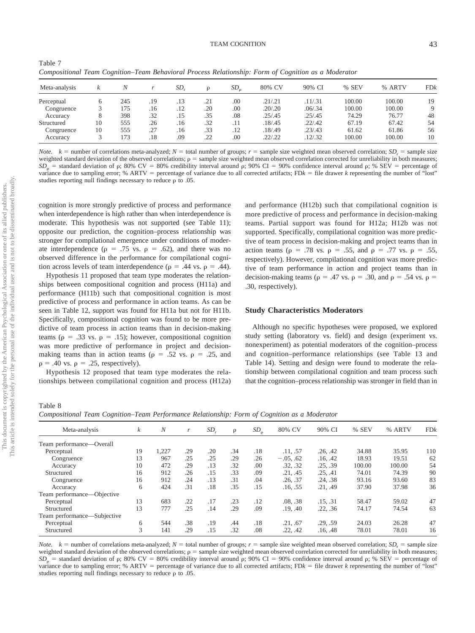| Table 7                                                                                             |  |  |  |
|-----------------------------------------------------------------------------------------------------|--|--|--|
| Compositional Team Cognition–Team Behavioral Process Relationship: Form of Cognition as a Moderator |  |  |  |

| Meta-analysis | ĸ  | N   |     | SD. |     | SD   | 80% CV   | 90% CI   | % SEV  | % ARTV | <b>FD</b> |
|---------------|----|-----|-----|-----|-----|------|----------|----------|--------|--------|-----------|
| Perceptual    |    | 245 | .19 | .13 | .21 | .00  | .21/.21  | .11/.31  | 100.00 | 100.00 | 19        |
| Congruence    |    | 175 | .16 | .12 | .20 | .00  | .20/0.20 | .06/0.34 | 100.00 | 100.00 | 9         |
| Accuracy      |    | 398 | .32 | .15 | .35 | .08  | .25/.45  | .25/.45  | 74.29  | 76.77  | 48        |
| Structured    | 10 | 555 | .26 | .16 | .32 | .11  | 18/.45   | .22/.42  | 67.19  | 67.42  | 54        |
| Congruence    | 10 | 555 | .27 | .16 | .33 | .12  | 18/.49   | .23/0.43 | 61.62  | 61.86  | 56        |
| Accuracy      |    | 173 | .18 | .09 | .22 | .00. | .22/.22  | 12/0.32  | 100.00 | 100.00 | 10        |

*Note.*  $k =$  number of correlations meta-analyzed;  $N =$  total number of groups;  $r =$  sample size weighted mean observed correlation;  $SD_r =$  sample size weighted standard deviation of the observed correlations;  $\rho =$  sample size weighted mean observed correlation corrected for unreliability in both measures;  $SD<sub>p</sub>$  = standard deviation of  $\rho$ ; 80% CV = 80% credibility interval around  $\rho$ ; 90% CI = 90% confidence interval around  $\rho$ ; % SEV = percentage of variance due to sampling error; % ARTV = percentage of variance due to all corrected artifacts;  $FDk =$  file drawer  $k$  representing the number of "lost" studies reporting null findings necessary to reduce  $\rho$  to .05.

cognition is more strongly predictive of process and performance when interdependence is high rather than when interdependence is moderate. This hypothesis was not supported (see Table 11); opposite our prediction, the cognition–process relationship was stronger for compilational emergence under conditions of moderate interdependence ( $\rho = .75$  vs.  $\rho = .62$ ), and there was no observed difference in the performance for compilational cognition across levels of team interdependence ( $\rho = .44$  vs.  $\rho = .44$ ).

Hypothesis 11 proposed that team type moderates the relationships between compositional cognition and process (H11a) and performance (H11b) such that compositional cognition is most predictive of process and performance in action teams. As can be seen in Table 12, support was found for H11a but not for H11b. Specifically, compositional cognition was found to be more predictive of team process in action teams than in decision-making teams ( $\rho = .33$  vs.  $\rho = .15$ ); however, compositional cognition was more predictive of performance in project and decisionmaking teams than in action teams ( $\rho = .52$  vs.  $\rho = .25$ , and  $\rho = .40$  vs.  $\rho = .25$ , respectively).

Hypothesis 12 proposed that team type moderates the relationships between compilational cognition and process (H12a) and performance (H12b) such that compilational cognition is more predictive of process and performance in decision-making teams. Partial support was found for H12a; H12b was not supported. Specifically, compilational cognition was more predictive of team process in decision-making and project teams than in action teams ( $\rho = .78$  vs.  $\rho = .55$ , and  $\rho = .77$  vs.  $\rho = .55$ , respectively). However, compilational cognition was more predictive of team performance in action and project teams than in decision-making teams ( $\rho = .47$  vs.  $\rho = .30$ , and  $\rho = .54$  vs.  $\rho =$ .30, respectively).

#### **Study Characteristics Moderators**

Although no specific hypotheses were proposed, we explored study setting (laboratory vs. field) and design (experiment vs. nonexperiment) as potential moderators of the cognition–process and cognition–performance relationships (see Table 13 and Table 14). Setting and design were found to moderate the relationship between compilational cognition and team process such that the cognition–process relationship was stronger in field than in

*Compositional Team Cognition–Team Performance Relationship: Form of Cognition as a Moderator*

| Meta-analysis               | $\kappa$ | N     | r   | $SD_r$ | $\rho$ | SD <sub>0</sub> | 80% CV      | 90% CI   | % SEV  | % ARTV | <b>FD</b> |
|-----------------------------|----------|-------|-----|--------|--------|-----------------|-------------|----------|--------|--------|-----------|
| Team performance—Overall    |          |       |     |        |        |                 |             |          |        |        |           |
| Perceptual                  | 19       | 1,227 | .29 | .20    | .34    | .18             | .11, .57    | .26, .42 | 34.88  | 35.95  | 110       |
| Congruence                  | 13       | 967   | .25 | .25    | .29    | .26             | $-.05, .62$ | .16, .42 | 18.93  | 19.51  | 62        |
| Accuracy                    | 10       | 472   | .29 | .13    | .32    | .00             | .32, .32    | .25, .39 | 100.00 | 100.00 | 54        |
| Structured                  | 16       | 912   | .26 | .15    | .33    | .09             | .21, .45    | .25, .41 | 74.01  | 74.39  | 90        |
| Congruence                  | 16       | 912   | .24 | .13    | .31    | .04             | .26, .37    | .24. .38 | 93.16  | 93.60  | 83        |
| Accuracy                    | 6        | 424   | .31 | .18    | .35    | .15             | .16, .55    | .21, .49 | 37.90  | 37.98  | 36        |
| Team performance—Objective  |          |       |     |        |        |                 |             |          |        |        |           |
| Perceptual                  | 13       | 683   | .22 | .17    | .23    | .12             | .08. .38    | .15, .31 | 58.47  | 59.02  | 47        |
| Structured                  | 13       | 777   | .25 | .14    | .29    | .09             | .19, .40    | .22, .36 | 74.17  | 74.54  | 63        |
| Team performance—Subjective |          |       |     |        |        |                 |             |          |        |        |           |
| Perceptual                  | 6        | 544   | .38 | .19    | .44    | .18             | .21, .67    | .29. .59 | 24.03  | 26.28  | 47        |
| Structured                  | 3        | 141   | .29 | .15    | .32    | .08             | .22, .42    | .16, .48 | 78.01  | 78.01  | 16        |
|                             |          |       |     |        |        |                 |             |          |        |        |           |

*Note.*  $k =$  number of correlations meta-analyzed;  $N =$  total number of groups;  $r =$  sample size weighted mean observed correlation;  $SD_r =$  sample size weighted standard deviation of the observed correlations;  $\rho =$  sample size weighted mean observed correlation corrected for unreliability in both measures;  $SD<sub>p</sub>$  = standard deviation of  $\rho$ ; 80% CV = 80% credibility interval around  $\rho$ ; 90% CI = 90% confidence interval around  $\rho$ ; % SEV = percentage of variance due to sampling error; % ARTV = percentage of variance due to all corrected artifacts; FD*k* = file drawer *k* representing the number of "lost" studies reporting null findings necessary to reduce  $\rho$  to .05.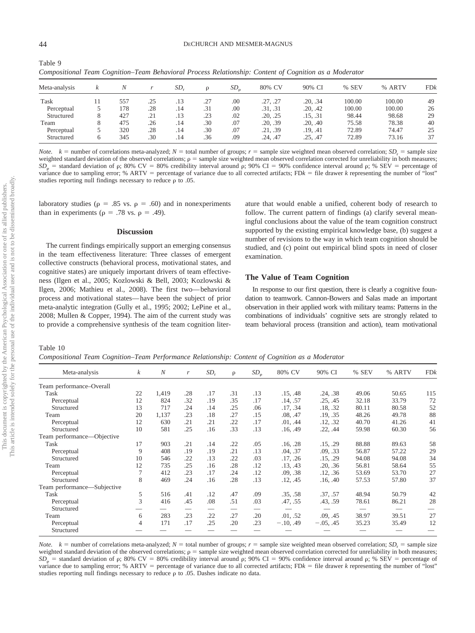| - | _ |
|---|---|
|   |   |

Table 9

| Compositional Team Cognition–Team Denavioral Frocess Retationship. Content of Cognition as a moderator |     |     |     |     |             |          |          |        |        |     |
|--------------------------------------------------------------------------------------------------------|-----|-----|-----|-----|-------------|----------|----------|--------|--------|-----|
| Meta-analysis                                                                                          |     |     | SD. |     | $SD_{\rho}$ | 80% CV   | 90% CI   | % SEV  | % ARTV | FDk |
| Task                                                                                                   | 557 | .25 | .13 |     | .00         | .27. .27 | .20. .34 | 100.00 | 100.00 | 49  |
| Perceptual                                                                                             | 178 | .28 | .14 | .31 | .00         | .31, .31 | .20, .42 | 100.00 | 100.00 | 26  |
| Structured                                                                                             | 427 | .21 | .13 | .23 | .02         | .20, .25 | .15. .31 | 98.44  | 98.68  | 29  |
| Team                                                                                                   | 475 | .26 | .14 | .30 | .07         | .20. .39 | .20, .40 | 75.58  | 78.38  | 40  |
| Perceptual                                                                                             | 320 | .28 | .14 | .30 | .07         | .21. .39 | .19.41   | 72.89  | 74.47  | 25  |
| Structured                                                                                             | 345 | .30 | .14 | .36 | .09         | .24. .47 | .25, .47 | 72.89  | 73.16  | 37  |

*Compositional Team Cognition–Team Behavioral Process Relationship: Content of Cognition as a Moderator*

*Note.*  $k =$  number of correlations meta-analyzed;  $N =$  total number of groups;  $r =$  sample size weighted mean observed correlation;  $SD_r =$  sample size weighted standard deviation of the observed correlations;  $\rho =$  sample size weighted mean observed correlation corrected for unreliability in both measures;  $SD<sub>p</sub>$  = standard deviation of  $\rho$ ; 80% CV = 80% credibility interval around  $\rho$ ; 90% CI = 90% confidence interval around  $\rho$ ; % SEV = percentage of variance due to sampling error; % ARTV = percentage of variance due to all corrected artifacts;  $FDk =$  file drawer  $k$  representing the number of "lost" studies reporting null findings necessary to reduce  $\rho$  to .05.

laboratory studies ( $\rho = .85$  vs.  $\rho = .60$ ) and in nonexperiments than in experiments ( $\rho = .78$  vs.  $\rho = .49$ ).

#### **Discussion**

The current findings empirically support an emerging consensus in the team effectiveness literature: Three classes of emergent collective constructs (behavioral process, motivational states, and cognitive states) are uniquely important drivers of team effectiveness (Ilgen et al., 2005; Kozlowski & Bell, 2003; Kozlowski & Ilgen, 2006; Mathieu et al., 2008). The first two— behavioral process and motivational states— have been the subject of prior meta-analytic integration (Gully et al., 1995; 2002; LePine et al., 2008; Mullen & Copper, 1994). The aim of the current study was to provide a comprehensive synthesis of the team cognition literature that would enable a unified, coherent body of research to follow. The current pattern of findings (a) clarify several meaningful conclusions about the value of the team cognition construct supported by the existing empirical knowledge base, (b) suggest a number of revisions to the way in which team cognition should be studied, and (c) point out empirical blind spots in need of closer examination.

## **The Value of Team Cognition**

In response to our first question, there is clearly a cognitive foundation to teamwork. Cannon-Bowers and Salas made an important observation in their applied work with military teams: Patterns in the combinations of individuals' cognitive sets are strongly related to team behavioral process (transition and action), team motivational

Table 10 *Compositional Team Cognition–Team Performance Relationship: Content of Cognition as a Moderator*

| Meta-analysis               | $\boldsymbol{k}$ | N     | r   | $SD_r$ | $\rho$ | SD <sub>0</sub> | 80% CV      | 90% CI      | % SEV | % ARTV | <b>FD</b> |
|-----------------------------|------------------|-------|-----|--------|--------|-----------------|-------------|-------------|-------|--------|-----------|
| Team performance-Overall    |                  |       |     |        |        |                 |             |             |       |        |           |
| Task                        | 22               | 1,419 | .28 | .17    | .31    | .13             | .15, .48    | .24, .38    | 49.06 | 50.65  | 115       |
| Perceptual                  | 12               | 824   | .32 | .19    | .35    | .17             | .14, .57    | .25, .45    | 32.18 | 33.79  | 72        |
| Structured                  | 13               | 717   | .24 | .14    | .25    | .06             | .17, .34    | .18, .32    | 80.11 | 80.58  | 52        |
| Team                        | 20               | 1,137 | .23 | .18    | .27    | .15             | .08, .47    | .19, .35    | 48.26 | 49.78  | 88        |
| Perceptual                  | 12               | 630   | .21 | .21    | .22    | .17             | .01, .44    | .12, .32    | 40.70 | 41.26  | 41        |
| Structured                  | 10               | 581   | .25 | .16    | .33    | .13             | .16, .49    | .22, .44    | 59.98 | 60.30  | 56        |
| Team performance—Objective  |                  |       |     |        |        |                 |             |             |       |        |           |
| Task                        | 17               | 903   | .21 | .14    | .22    | .05             | .16, .28    | .15, .29    | 88.88 | 89.63  | 58        |
| Perceptual                  | 9                | 408   | .19 | .19    | .21    | .13             | .04, .37    | .09, .33    | 56.87 | 57.22  | 29        |
| Structured                  | 10               | 546   | .22 | .13    | .22    | .03             | .17, .26    | .15, .29    | 94.08 | 94.08  | 34        |
| Team                        | 12               | 735   | .25 | .16    | .28    | .12             | .13, .43    | .20, .36    | 56.81 | 58.64  | 55        |
| Perceptual                  | 7                | 412   | .23 | .17    | .24    | .12             | .09, .38    | .12, .36    | 53.69 | 53.70  | 27        |
| Structured                  | 8                | 469   | .24 | .16    | .28    | .13             | .12, .45    | .16, .40    | 57.53 | 57.80  | 37        |
| Team performance—Subjective |                  |       |     |        |        |                 |             |             |       |        |           |
| Task                        | 5                | 516   | .41 | .12    | .47    | .09             | .35, .58    | .37, .57    | 48.94 | 50.79  | 42        |
| Perceptual                  | 3                | 416   | .45 | .08    | .51    | .03             | .47, .55    | .43, .59    | 78.61 | 86.21  | 28        |
| Structured                  |                  |       |     |        |        |                 |             |             |       |        |           |
| Team                        | 6                | 283   | .23 | .22    | .27    | .20             | .01, .52    | .09, .45    | 38.97 | 39.51  | 27        |
| Perceptual                  | 4                | 171   | .17 | .25    | .20    | .23             | $-.10, .49$ | $-.05, .45$ | 35.23 | 35.49  | 12        |
| Structured                  |                  |       |     |        |        |                 |             |             |       |        |           |
|                             |                  |       |     |        |        |                 |             |             |       |        |           |

*Note.*  $k =$  number of correlations meta-analyzed;  $N =$  total number of groups;  $r =$  sample size weighted mean observed correlation;  $SD_r =$  sample size weighted standard deviation of the observed correlations;  $\rho =$  sample size weighted mean observed correlation corrected for unreliability in both measures;  $SD<sub>p</sub>$  = standard deviation of  $\rho$ ; 80% CV = 80% credibility interval around  $\rho$ ; 90% CI = 90% confidence interval around  $\rho$ ; % SEV = percentage of variance due to sampling error; % ARTV = percentage of variance due to all corrected artifacts; FD*k* = file drawer *k* representing the number of "lost" studies reporting null findings necessary to reduce  $\rho$  to .05. Dashes indicate no data.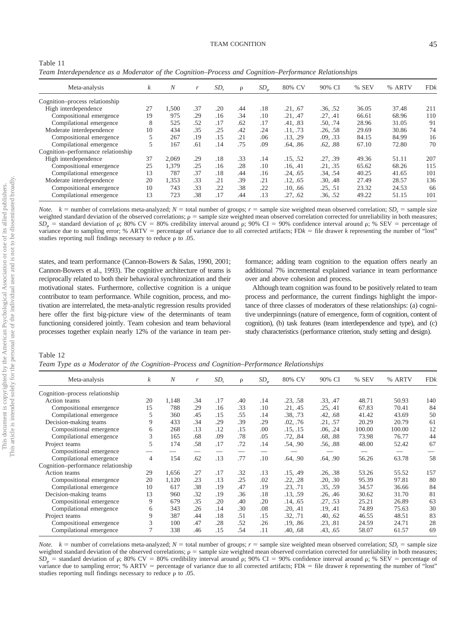#### TEAM COGNITION 45

| Table 11 |                                                                                                      |  |  |  |  |  |
|----------|------------------------------------------------------------------------------------------------------|--|--|--|--|--|
|          | Team Interdependence as a Moderator of the Cognition–Process and Cognition–Performance Relationships |  |  |  |  |  |

|                                    |          | $\mathbf \sigma$ |     |        |        | $\circ$     |          |          |       |        |           |
|------------------------------------|----------|------------------|-----|--------|--------|-------------|----------|----------|-------|--------|-----------|
| Meta-analysis                      | $\kappa$ | $\overline{N}$   | r   | $SD_r$ | $\rho$ | $SD_{\rho}$ | 80% CV   | 90% CI   | % SEV | % ARTV | <b>FD</b> |
| Cognition-process relationship     |          |                  |     |        |        |             |          |          |       |        |           |
| High interdependence               | 27       | 1,500            | .37 | .20    | .44    | .18         | .21, .67 | .36, .52 | 36.05 | 37.48  | 211       |
| Compositional emergence            | 19       | 975              | .29 | .16    | .34    | .10         | .21, .47 | .27, .41 | 66.61 | 68.96  | 110       |
| Compilational emergence            | 8        | 525              | .52 | .17    | .62    | .17         | .41, .83 | .50, .74 | 28.96 | 31.05  | 91        |
| Moderate interdependence           | 10       | 434              | .35 | .25    | .42    | .24         | .11, .73 | .26, .58 | 29.69 | 30.86  | 74        |
| Compositional emergence            |          | 267              | .19 | .15    | .21    | .06         | .13, .29 | .09, .33 | 84.15 | 84.99  | 16        |
| Compilational emergence            | 5        | 167              | .61 | .14    | .75    | .09         | .64, .86 | .62, .88 | 67.10 | 72.80  | 70        |
| Cognition-performance relationship |          |                  |     |        |        |             |          |          |       |        |           |
| High interdependence               | 37       | 2,069            | .29 | .18    | .33    | .14         | .15, .52 | .27, .39 | 49.36 | 51.11  | 207       |
| Compositional emergence            | 25       | 1.379            | .25 | .16    | .28    | .10         | .16, .41 | .21, .35 | 65.62 | 68.26  | 115       |
| Compilational emergence            | 13       | 787              | .37 | .18    | .44    | .16         | .24, .65 | .34, .54 | 40.25 | 41.65  | 101       |
| Moderate interdependence           | 20       | 1,353            | .33 | .21    | .39    | .21         | .12, .65 | .30, .48 | 27.49 | 28.57  | 136       |
| Compositional emergence            | 10       | 743              | .33 | .22    | .38    | .22         | .10.066  | .25, .51 | 23.32 | 24.53  | 66        |
| Compilational emergence            | 13       | 723              | .38 | .17    | .44    | .13         | .27, .62 | .36, .52 | 49.22 | 51.15  | 101       |

*Note.*  $k =$  number of correlations meta-analyzed;  $N =$  total number of groups;  $r =$  sample size weighted mean observed correlation;  $SD_r =$  sample size weighted standard deviation of the observed correlations;  $\rho =$  sample size weighted mean observed correlation corrected for unreliability in both measures;  $SD<sub>p</sub>$  = standard deviation of  $\rho$ ; 80% CV = 80% credibility interval around  $\rho$ ; 90% CI = 90% confidence interval around  $\rho$ ; % SEV = percentage of variance due to sampling error; % ARTV = percentage of variance due to all corrected artifacts;  $FDk =$  file drawer  $k$  representing the number of "lost" studies reporting null findings necessary to reduce  $\rho$  to .05.

states, and team performance (Cannon-Bowers & Salas, 1990, 2001; Cannon-Bowers et al., 1993). The cognitive architecture of teams is reciprocally related to both their behavioral synchronization and their motivational states. Furthermore, collective cognition is a unique contributor to team performance. While cognition, process, and motivation are interrelated, the meta-analytic regression results provided here offer the first big-picture view of the determinants of team functioning considered jointly. Team cohesion and team behavioral processes together explain nearly 12% of the variance in team performance; adding team cognition to the equation offers nearly an additional 7% incremental explained variance in team performance over and above cohesion and process.

Although team cognition was found to be positively related to team process and performance, the current findings highlight the importance of three classes of moderators of these relationships: (a) cognitive underpinnings (nature of emergence, form of cognition, content of cognition), (b) task features (team interdependence and type), and (c) study characteristics (performance criterion, study setting and design).

## Table 12

*Team Type as a Moderator of the Cognition–Process and Cognition–Performance Relationships*

| Meta-analysis                      | k  | $\boldsymbol{N}$ | r   | $SD_r$ | $\rho$ | $SD_{\rho}$ | 80% CV   | 90% CI   | % SEV  | % ARTV | <b>FD</b> |
|------------------------------------|----|------------------|-----|--------|--------|-------------|----------|----------|--------|--------|-----------|
| Cognition-process relationship     |    |                  |     |        |        |             |          |          |        |        |           |
| Action teams                       | 20 | 1,148            | .34 | .17    | .40    | .14         | .23, .58 | .33, .47 | 48.71  | 50.93  | 140       |
| Compositional emergence            | 15 | 788              | .29 | .16    | .33    | .10         | .21, .45 | .25, .41 | 67.83  | 70.41  | 84        |
| Compilational emergence            | 5  | 360              | .45 | .15    | .55    | .14         | .38, .73 | .42, .68 | 41.42  | 43.69  | 50        |
| Decision-making teams              | 9  | 433              | .34 | .29    | .39    | .29         | .02, .76 | .21, .57 | 20.29  | 20.79  | 61        |
| Compositional emergence            | 6  | 268              | .13 | .12    | .15    | .00         | .15, .15 | .06, .24 | 100.00 | 100.00 | 12        |
| Compilational emergence            | 3  | 165              | .68 | .09    | .78    | .05         | .72, .84 | .68, .88 | 73.98  | 76.77  | 44        |
| Project teams                      | 5  | 174              | .58 | .17    | .72    | .14         | .54, .90 | .56, .88 | 48.00  | 52.42  | 67        |
| Compositional emergence            |    |                  |     |        |        |             |          |          |        |        |           |
| Compilational emergence            | 4  | 154              | .62 | .13    | .77    | .10         | .64, .90 | .64, .90 | 56.26  | 63.78  | 58        |
| Cognition-performance relationship |    |                  |     |        |        |             |          |          |        |        |           |
| Action teams                       | 29 | 1,656            | .27 | .17    | .32    | .13         | .15, .49 | .26, .38 | 53.26  | 55.52  | 157       |
| Compositional emergence            | 20 | 1,120            | .23 | .13    | .25    | .02         | .22, .28 | .20, .30 | 95.39  | 97.81  | 80        |
| Compilational emergence            | 10 | 617              | .38 | .19    | .47    | .19         | .23, .71 | .35, .59 | 34.57  | 36.66  | 84        |
| Decision-making teams              | 13 | 960              | .32 | .19    | .36    | .18         | .13, .59 | .26, .46 | 30.62  | 31.70  | 81        |
| Compositional emergence            | 9  | 679              | .35 | .20    | .40    | .20         | .14, .65 | .27, .53 | 25.21  | 26.89  | 63        |
| Compilational emergence            | 6  | 343              | .26 | .14    | .30    | .08         | .20, .41 | .19, .41 | 74.89  | 75.63  | 30        |
| Project teams                      | 9  | 387              | .44 | .18    | .51    | .15         | .32, .71 | .40, .62 | 46.55  | 48.51  | 83        |
| Compositional emergence            | 3  | 100              | .47 | .28    | .52    | .26         | .19. .86 | .23, .81 | 24.59  | 24.71  | 28        |
| Compilational emergence            |    | 338              | .46 | .15    | .54    | .11         | .40, .68 | .43, .65 | 58.07  | 61.57  | 69        |

*Note.*  $k =$  number of correlations meta-analyzed;  $N =$  total number of groups;  $r =$  sample size weighted mean observed correlation;  $SD_r =$  sample size weighted standard deviation of the observed correlations;  $\rho =$  sample size weighted mean observed correlation corrected for unreliability in both measures;  $SD<sub>p</sub>$  = standard deviation of  $\rho$ ; 80% CV = 80% credibility interval around  $\rho$ ; 90% CI = 90% confidence interval around  $\rho$ ; % SEV = percentage of variance due to sampling error; % ARTV = percentage of variance due to all corrected artifacts; FD*k* = file drawer *k* representing the number of "lost" studies reporting null findings necessary to reduce  $\rho$  to .05.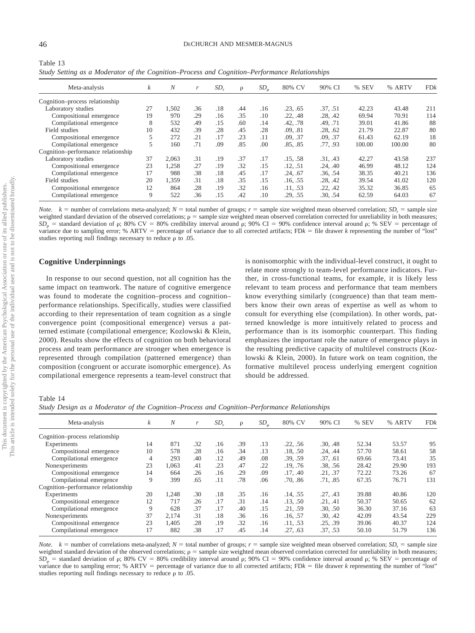|                                    | Study Setting as a Moderator of the Cognition–Process and Cognition–Performance Relationships |       |     |        |        |             |          |          |        |        |           |
|------------------------------------|-----------------------------------------------------------------------------------------------|-------|-----|--------|--------|-------------|----------|----------|--------|--------|-----------|
| Meta-analysis                      | k                                                                                             | N     | r   | $SD_r$ | $\rho$ | $SD_{\rho}$ | 80% CV   | 90% CI   | % SEV  | % ARTV | <b>FD</b> |
| Cognition–process relationship     |                                                                                               |       |     |        |        |             |          |          |        |        |           |
| Laboratory studies                 | 27                                                                                            | 1.502 | .36 | .18    | .44    | .16         | .23, .65 | .37, .51 | 42.23  | 43.48  | 211       |
| Compositional emergence            | 19                                                                                            | 970   | .29 | .16    | .35    | .10         | .22, .48 | .28, .42 | 69.94  | 70.91  | 114       |
| Compilational emergence            | 8                                                                                             | 532   | .49 | .15    | .60    | .14         | .42, .78 | .49, .71 | 39.01  | 41.86  | 88        |
| Field studies                      | 10                                                                                            | 432   | .39 | .28    | .45    | .28         | .09. .81 | .28, .62 | 21.79  | 22.87  | 80        |
| Compositional emergence            | 5                                                                                             | 272   | .21 | .17    | .23    | .11         | .09, .37 | .09. .37 | 61.43  | 62.19  | 18        |
| Compilational emergence            |                                                                                               | 160   | .71 | .09    | .85    | .00         | .85, .85 | .77, .93 | 100.00 | 100.00 | 80        |
| Cognition–performance relationship |                                                                                               |       |     |        |        |             |          |          |        |        |           |
| Laboratory studies                 | 37                                                                                            | 2,063 | .31 | .19    | .37    | .17         | .15, .58 | .31, .43 | 42.27  | 43.58  | 237       |
| Compositional emergence            | 23                                                                                            | 1.258 | .27 | .19    | .32    | .15         | .12, .51 | .24, .40 | 46.99  | 48.12  | 124       |
| Compilational emergence            | 17                                                                                            | 988   | .38 | .18    | .45    | .17         | .24, .67 | .36, .54 | 38.35  | 40.21  | 136       |
| Field studies                      | 20                                                                                            | 1.359 | .31 | .18    | .35    | .15         | .16, .55 | .28, .42 | 39.54  | 41.02  | 120       |
| Compositional emergence            | 12                                                                                            | 864   | .28 | .19    | .32    | .16         | .11, .53 | .22, .42 | 35.32  | 36.85  | 65        |
| Compilational emergence            | 9                                                                                             | 522   | .36 | .15    | .42    | .10         | .29, .55 | .30, .54 | 62.59  | 64.03  | 67        |

| Table 13 |  |  |  |                                                                                               |  |
|----------|--|--|--|-----------------------------------------------------------------------------------------------|--|
|          |  |  |  | Study Setting as a Moderator of the Cognition–Process and Cognition–Performance Relationships |  |

*Note.*  $k =$  number of correlations meta-analyzed;  $N =$  total number of groups;  $r =$  sample size weighted mean observed correlation;  $SD_r =$  sample size weighted standard deviation of the observed correlations;  $\rho =$  sample size weighted mean observed correlation corrected for unreliability in both measures;  $SD<sub>p</sub>$  = standard deviation of  $\rho$ ; 80% CV = 80% credibility interval around  $\rho$ ; 90% CI = 90% confidence interval around  $\rho$ ; % SEV = percentage of variance due to sampling error; % ARTV = percentage of variance due to all corrected artifacts;  $FDk =$  file drawer  $k$  representing the number of "lost" studies reporting null findings necessary to reduce  $\rho$  to .05.

Compilational emergence 9 522 .36 .15 .42 .10 .29, .55 .30, .54 62.59 64.03 67

# **Cognitive Underpinnings**

In response to our second question, not all cognition has the same impact on teamwork. The nature of cognitive emergence was found to moderate the cognition–process and cognition– performance relationships. Specifically, studies were classified according to their representation of team cognition as a single convergence point (compositional emergence) versus a patterned estimate (compilational emergence; Kozlowski & Klein, 2000). Results show the effects of cognition on both behavioral process and team performance are stronger when emergence is represented through compilation (patterned emergence) than composition (congruent or accurate isomorphic emergence). As compilational emergence represents a team-level construct that is nonisomorphic with the individual-level construct, it ought to relate more strongly to team-level performance indicators. Further, in cross-functional teams, for example, it is likely less relevant to team process and performance that team members know everything similarly (congruence) than that team members know their own areas of expertise as well as whom to consult for everything else (compilation). In other words, patterned knowledge is more intuitively related to process and performance than is its isomorphic counterpart. This finding emphasizes the important role the nature of emergence plays in the resulting predictive capacity of multilevel constructs (Kozlowski & Klein, 2000). In future work on team cognition, the formative multilevel process underlying emergent cognition should be addressed.

Table 14

*Study Design as a Moderator of the Cognition–Process and Cognition–Performance Relationships*

| Meta-analysis                      | $\boldsymbol{k}$ | N     | r   | $SD_r$ | ρ   | $SD_{\rho}$ | 80% CV   | 90% CI   | % SEV | % ARTV | <b>FD</b> |
|------------------------------------|------------------|-------|-----|--------|-----|-------------|----------|----------|-------|--------|-----------|
| Cognition-process relationship     |                  |       |     |        |     |             |          |          |       |        |           |
| Experiments                        | 14               | 871   | .32 | .16    | .39 | .13         | .22. .56 | .30, .48 | 52.34 | 53.57  | 95        |
| Compositional emergence            | 10               | 578   | .28 | .16    | .34 | .13         | .18, .50 | .24, .44 | 57.70 | 58.61  | 58        |
| Compilational emergence            | 4                | 293   | .40 | .12    | .49 | .08         | .39, .59 | .37, .61 | 69.66 | 73.41  | 35        |
| Nonexperiments                     | 23               | 1.063 | .41 | .23    | .47 | .22         | .19, .76 | .38, .56 | 28.42 | 29.90  | 193       |
| Compositional emergence            | 14               | 664   | .26 | .16    | .29 | .09         | .17, .40 | .21. .37 | 72.22 | 73.26  | 67        |
| Compilational emergence            | 9                | 399   | .65 | .11    | .78 | .06         | .70, .86 | .71, .85 | 67.35 | 76.71  | 131       |
| Cognition-performance relationship |                  |       |     |        |     |             |          |          |       |        |           |
| Experiments                        | 20               | 1,248 | .30 | .18    | .35 | .16         | .14, .55 | .27, .43 | 39.88 | 40.86  | 120       |
| Compositional emergence            | 12               | 717   | .26 | .17    | .31 | .14         | .13. .50 | .21. .41 | 50.37 | 50.65  | 62        |
| Compilational emergence            | 9                | 628   | .37 | .17    | .40 | .15         | .21. .59 | .30, .50 | 36.30 | 37.16  | 63        |
| Nonexperiments                     | 37               | 2.174 | .31 | .18    | .36 | .16         | .16, .57 | .30. .42 | 42.09 | 43.54  | 229       |
| Compositional emergence            | 23               | 1,405 | .28 | .19    | .32 | .16         | .11, .53 | .25, .39 | 39.06 | 40.37  | 124       |
| Compilational emergence            | 17               | 882   | .38 | .17    | .45 | .14         | .27, .63 | .37, .53 | 50.10 | 51.79  | 136       |
|                                    |                  |       |     |        |     |             |          |          |       |        |           |

*Note.*  $k =$  number of correlations meta-analyzed;  $N =$  total number of groups;  $r =$  sample size weighted mean observed correlation;  $SD_r =$  sample size weighted standard deviation of the observed correlations;  $\rho =$  sample size weighted mean observed correlation corrected for unreliability in both measures;  $SD<sub>p</sub>$  = standard deviation of  $\rho$ ; 80% CV = 80% credibility interval around  $\rho$ ; 90% CI = 90% confidence interval around  $\rho$ ; % SEV = percentage of variance due to sampling error; % ARTV = percentage of variance due to all corrected artifacts; FD*k* = file drawer *k* representing the number of "lost" studies reporting null findings necessary to reduce  $\rho$  to .05.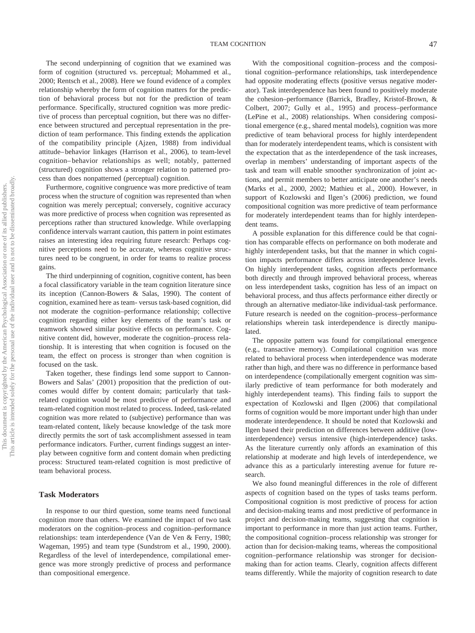The second underpinning of cognition that we examined was form of cognition (structured vs. perceptual; Mohammed et al., 2000; Rentsch et al., 2008). Here we found evidence of a complex relationship whereby the form of cognition matters for the prediction of behavioral process but not for the prediction of team performance. Specifically, structured cognition was more predictive of process than perceptual cognition, but there was no difference between structured and perceptual representation in the prediction of team performance. This finding extends the application of the compatibility principle (Ajzen, 1988) from individual attitude– behavior linkages (Harrison et al., 2006), to team-level cognition– behavior relationships as well; notably, patterned (structured) cognition shows a stronger relation to patterned process than does nonpatterned (perceptual) cognition.

Furthermore, cognitive congruence was more predictive of team process when the structure of cognition was represented than when cognition was merely perceptual; conversely, cognitive accuracy was more predictive of process when cognition was represented as perceptions rather than structured knowledge. While overlapping confidence intervals warrant caution, this pattern in point estimates raises an interesting idea requiring future research: Perhaps cognitive perceptions need to be accurate, whereas cognitive structures need to be congruent, in order for teams to realize process gains.

The third underpinning of cognition, cognitive content, has been a focal classificatory variable in the team cognition literature since its inception (Cannon-Bowers & Salas, 1990). The content of cognition, examined here as team- versus task-based cognition, did not moderate the cognition–performance relationship; collective cognition regarding either key elements of the team's task or teamwork showed similar positive effects on performance. Cognitive content did, however, moderate the cognition–process relationship. It is interesting that when cognition is focused on the team, the effect on process is stronger than when cognition is focused on the task.

Taken together, these findings lend some support to Cannon-Bowers and Salas' (2001) proposition that the prediction of outcomes would differ by content domain; particularly that taskrelated cognition would be most predictive of performance and team-related cognition most related to process. Indeed, task-related cognition was more related to (subjective) performance than was team-related content, likely because knowledge of the task more directly permits the sort of task accomplishment assessed in team performance indicators. Further, current findings suggest an interplay between cognitive form and content domain when predicting process: Structured team-related cognition is most predictive of team behavioral process.

## **Task Moderators**

In response to our third question, some teams need functional cognition more than others. We examined the impact of two task moderators on the cognition–process and cognition–performance relationships: team interdependence (Van de Ven & Ferry, 1980; Wageman, 1995) and team type (Sundstrom et al., 1990, 2000). Regardless of the level of interdependence, compilational emergence was more strongly predictive of process and performance than compositional emergence.

With the compositional cognition–process and the compositional cognition–performance relationships, task interdependence had opposite moderating effects (positive versus negative moderator). Task interdependence has been found to positively moderate the cohesion–performance (Barrick, Bradley, Kristof-Brown, & Colbert, 2007; Gully et al., 1995) and process–performance (LePine et al., 2008) relationships. When considering compositional emergence (e.g., shared mental models), cognition was more predictive of team behavioral process for highly interdependent than for moderately interdependent teams, which is consistent with the expectation that as the interdependence of the task increases, overlap in members' understanding of important aspects of the task and team will enable smoother synchronization of joint actions, and permit members to better anticipate one another's needs (Marks et al., 2000, 2002; Mathieu et al., 2000). However, in support of Kozlowski and Ilgen's (2006) prediction, we found compositional cognition was more predictive of team performance for moderately interdependent teams than for highly interdependent teams.

A possible explanation for this difference could be that cognition has comparable effects on performance on both moderate and highly interdependent tasks, but that the manner in which cognition impacts performance differs across interdependence levels. On highly interdependent tasks, cognition affects performance both directly and through improved behavioral process, whereas on less interdependent tasks, cognition has less of an impact on behavioral process, and thus affects performance either directly or through an alternative mediator-like individual-task performance. Future research is needed on the cognition–process–performance relationships wherein task interdependence is directly manipulated.

The opposite pattern was found for compilational emergence (e.g., transactive memory). Compilational cognition was more related to behavioral process when interdependence was moderate rather than high, and there was no difference in performance based on interdependence (compilationally emergent cognition was similarly predictive of team performance for both moderately and highly interdependent teams). This finding fails to support the expectation of Kozlowski and Ilgen (2006) that compilational forms of cognition would be more important under high than under moderate interdependence. It should be noted that Kozlowski and Ilgen based their prediction on differences between additive (lowinterdependence) versus intensive (high-interdependence) tasks. As the literature currently only affords an examination of this relationship at moderate and high levels of interdependence, we advance this as a particularly interesting avenue for future research.

We also found meaningful differences in the role of different aspects of cognition based on the types of tasks teams perform. Compositional cognition is most predictive of process for action and decision-making teams and most predictive of performance in project and decision-making teams, suggesting that cognition is important to performance in more than just action teams. Further, the compositional cognition–process relationship was stronger for action than for decision-making teams, whereas the compositional cognition–performance relationship was stronger for decisionmaking than for action teams. Clearly, cognition affects different teams differently. While the majority of cognition research to date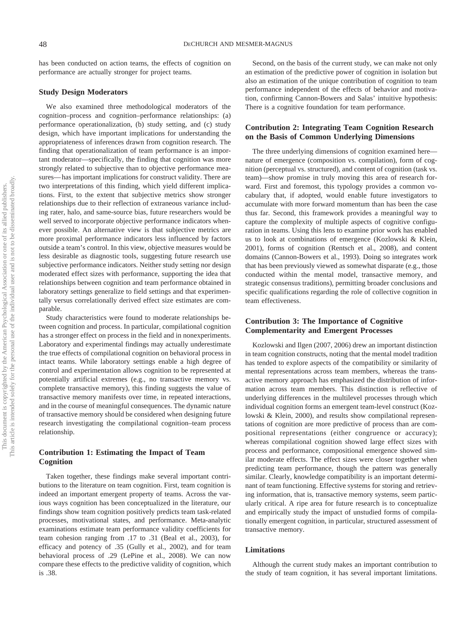has been conducted on action teams, the effects of cognition on performance are actually stronger for project teams.

## **Study Design Moderators**

We also examined three methodological moderators of the cognition–process and cognition–performance relationships: (a) performance operationalization, (b) study setting, and (c) study design, which have important implications for understanding the appropriateness of inferences drawn from cognition research. The finding that operationalization of team performance is an important moderator—specifically, the finding that cognition was more strongly related to subjective than to objective performance meahas important implications for construct validity. There are two interpretations of this finding, which yield different implications. First, to the extent that subjective metrics show stronger relationships due to their reflection of extraneous variance including rater, halo, and same-source bias, future researchers would be well served to incorporate objective performance indicators whenever possible. An alternative view is that subjective metrics are more proximal performance indicators less influenced by factors outside a team's control. In this view, objective measures would be less desirable as diagnostic tools, suggesting future research use subjective performance indicators. Neither study setting nor design moderated effect sizes with performance, supporting the idea that relationships between cognition and team performance obtained in laboratory settings generalize to field settings and that experimentally versus correlationally derived effect size estimates are comparable.

Study characteristics were found to moderate relationships between cognition and process. In particular, compilational cognition has a stronger effect on process in the field and in nonexperiments. Laboratory and experimental findings may actually underestimate the true effects of compilational cognition on behavioral process in intact teams. While laboratory settings enable a high degree of control and experimentation allows cognition to be represented at potentially artificial extremes (e.g., no transactive memory vs. complete transactive memory), this finding suggests the value of transactive memory manifests over time, in repeated interactions, and in the course of meaningful consequences. The dynamic nature of transactive memory should be considered when designing future research investigating the compilational cognition–team process relationship.

# **Contribution 1: Estimating the Impact of Team Cognition**

Taken together, these findings make several important contributions to the literature on team cognition. First, team cognition is indeed an important emergent property of teams. Across the various ways cognition has been conceptualized in the literature, our findings show team cognition positively predicts team task-related processes, motivational states, and performance. Meta-analytic examinations estimate team performance validity coefficients for team cohesion ranging from .17 to .31 (Beal et al., 2003), for efficacy and potency of .35 (Gully et al., 2002), and for team behavioral process of .29 (LePine et al., 2008). We can now compare these effects to the predictive validity of cognition, which is .38.

Second, on the basis of the current study, we can make not only an estimation of the predictive power of cognition in isolation but also an estimation of the unique contribution of cognition to team performance independent of the effects of behavior and motivation, confirming Cannon-Bowers and Salas' intuitive hypothesis: There is a cognitive foundation for team performance.

# **Contribution 2: Integrating Team Cognition Research on the Basis of Common Underlying Dimensions**

The three underlying dimensions of cognition examined here nature of emergence (composition vs. compilation), form of cognition (perceptual vs. structured), and content of cognition (task vs. team)—show promise in truly moving this area of research forward. First and foremost, this typology provides a common vocabulary that, if adopted, would enable future investigators to accumulate with more forward momentum than has been the case thus far. Second, this framework provides a meaningful way to capture the complexity of multiple aspects of cognitive configuration in teams. Using this lens to examine prior work has enabled us to look at combinations of emergence (Kozlowski & Klein, 2001), forms of cognition (Rentsch et al., 2008), and content domains (Cannon-Bowers et al., 1993). Doing so integrates work that has been previously viewed as somewhat disparate (e.g., those conducted within the mental model, transactive memory, and strategic consensus traditions), permitting broader conclusions and specific qualifications regarding the role of collective cognition in team effectiveness.

# **Contribution 3: The Importance of Cognitive Complementarity and Emergent Processes**

Kozlowski and Ilgen (2007, 2006) drew an important distinction in team cognition constructs, noting that the mental model tradition has tended to explore aspects of the compatibility or similarity of mental representations across team members, whereas the transactive memory approach has emphasized the distribution of information across team members. This distinction is reflective of underlying differences in the multilevel processes through which individual cognition forms an emergent team-level construct (Kozlowski & Klein, 2000), and results show compilational representations of cognition are more predictive of process than are compositional representations (either congruence or accuracy); whereas compilational cognition showed large effect sizes with process and performance, compositional emergence showed similar moderate effects. The effect sizes were closer together when predicting team performance, though the pattern was generally similar. Clearly, knowledge compatibility is an important determinant of team functioning. Effective systems for storing and retrieving information, that is, transactive memory systems, seem particularly critical. A ripe area for future research is to conceptualize and empirically study the impact of unstudied forms of compilationally emergent cognition, in particular, structured assessment of transactive memory.

## **Limitations**

Although the current study makes an important contribution to the study of team cognition, it has several important limitations.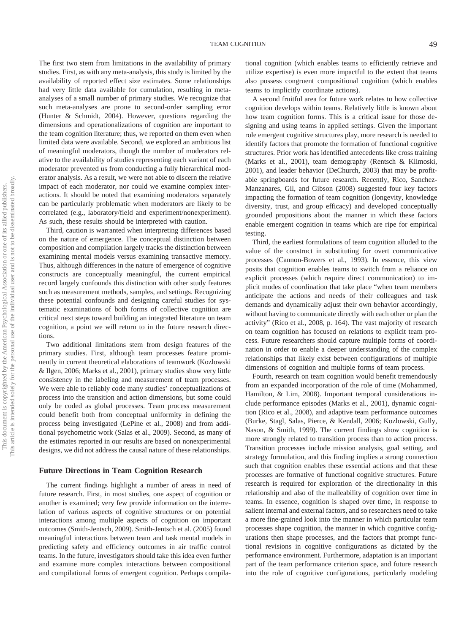The first two stem from limitations in the availability of primary studies. First, as with any meta-analysis, this study is limited by the availability of reported effect size estimates. Some relationships had very little data available for cumulation, resulting in metaanalyses of a small number of primary studies. We recognize that such meta-analyses are prone to second-order sampling error (Hunter & Schmidt, 2004). However, questions regarding the dimensions and operationalizations of cognition are important to the team cognition literature; thus, we reported on them even when limited data were available. Second, we explored an ambitious list of meaningful moderators, though the number of moderators relative to the availability of studies representing each variant of each moderator prevented us from conducting a fully hierarchical moderator analysis. As a result, we were not able to discern the relative impact of each moderator, nor could we examine complex interactions. It should be noted that examining moderators separately can be particularly problematic when moderators are likely to be correlated (e.g., laboratory/field and experiment/nonexperiment). As such, these results should be interpreted with caution.

Third, caution is warranted when interpreting differences based on the nature of emergence. The conceptual distinction between composition and compilation largely tracks the distinction between examining mental models versus examining transactive memory. Thus, although differences in the nature of emergence of cognitive constructs are conceptually meaningful, the current empirical record largely confounds this distinction with other study features such as measurement methods, samples, and settings. Recognizing these potential confounds and designing careful studies for systematic examinations of both forms of collective cognition are critical next steps toward building an integrated literature on team cognition, a point we will return to in the future research directions.

Two additional limitations stem from design features of the primary studies. First, although team processes feature prominently in current theoretical elaborations of teamwork (Kozlowski & Ilgen, 2006; Marks et al., 2001), primary studies show very little consistency in the labeling and measurement of team processes. We were able to reliably code many studies' conceptualizations of process into the transition and action dimensions, but some could only be coded as global processes. Team process measurement could benefit both from conceptual uniformity in defining the process being investigated (LePine et al., 2008) and from additional psychometric work (Salas et al., 2009). Second, as many of the estimates reported in our results are based on nonexperimental designs, we did not address the causal nature of these relationships.

## **Future Directions in Team Cognition Research**

The current findings highlight a number of areas in need of future research. First, in most studies, one aspect of cognition or another is examined; very few provide information on the interrelation of various aspects of cognitive structures or on potential interactions among multiple aspects of cognition on important outcomes (Smith-Jentsch, 2009). Smith-Jentsch et al. (2005) found meaningful interactions between team and task mental models in predicting safety and efficiency outcomes in air traffic control teams. In the future, investigators should take this idea even further and examine more complex interactions between compositional and compilational forms of emergent cognition. Perhaps compilational cognition (which enables teams to efficiently retrieve and utilize expertise) is even more impactful to the extent that teams also possess congruent compositional cognition (which enables teams to implicitly coordinate actions).

A second fruitful area for future work relates to how collective cognition develops within teams. Relatively little is known about how team cognition forms. This is a critical issue for those designing and using teams in applied settings. Given the important role emergent cognitive structures play, more research is needed to identify factors that promote the formation of functional cognitive structures. Prior work has identified antecedents like cross training (Marks et al., 2001), team demography (Rentsch & Klimoski, 2001), and leader behavior (DeChurch, 2003) that may be profitable springboards for future research. Recently, Rico, Sanchez-Manzanares, Gil, and Gibson (2008) suggested four key factors impacting the formation of team cognition (longevity, knowledge diversity, trust, and group efficacy) and developed conceptually grounded propositions about the manner in which these factors enable emergent cognition in teams which are ripe for empirical testing.

Third, the earliest formulations of team cognition alluded to the value of the construct in substituting for overt communicative processes (Cannon-Bowers et al., 1993). In essence, this view posits that cognition enables teams to switch from a reliance on explicit processes (which require direct communication) to implicit modes of coordination that take place "when team members anticipate the actions and needs of their colleagues and task demands and dynamically adjust their own behavior accordingly, without having to communicate directly with each other or plan the activity" (Rico et al., 2008, p. 164). The vast majority of research on team cognition has focused on relations to explicit team process. Future researchers should capture multiple forms of coordination in order to enable a deeper understanding of the complex relationships that likely exist between configurations of multiple dimensions of cognition and multiple forms of team process.

Fourth, research on team cognition would benefit tremendously from an expanded incorporation of the role of time (Mohammed, Hamilton, & Lim, 2008). Important temporal considerations include performance episodes (Marks et al., 2001), dynamic cognition (Rico et al., 2008), and adaptive team performance outcomes (Burke, Stagl, Salas, Pierce, & Kendall, 2006; Kozlowski, Gully, Nason, & Smith, 1999). The current findings show cognition is more strongly related to transition process than to action process. Transition processes include mission analysis, goal setting, and strategy formulation, and this finding implies a strong connection such that cognition enables these essential actions and that these processes are formative of functional cognitive structures. Future research is required for exploration of the directionality in this relationship and also of the malleability of cognition over time in teams. In essence, cognition is shaped over time, in response to salient internal and external factors, and so researchers need to take a more fine-grained look into the manner in which particular team processes shape cognition, the manner in which cognitive configurations then shape processes, and the factors that prompt functional revisions in cognitive configurations as dictated by the performance environment. Furthermore, adaptation is an important part of the team performance criterion space, and future research into the role of cognitive configurations, particularly modeling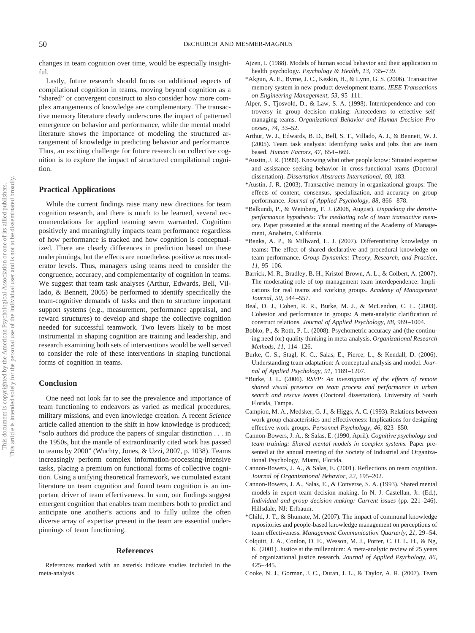changes in team cognition over time, would be especially insightful.

Lastly, future research should focus on additional aspects of compilational cognition in teams, moving beyond cognition as a "shared" or convergent construct to also consider how more complex arrangements of knowledge are complementary. The transactive memory literature clearly underscores the impact of patterned emergence on behavior and performance, while the mental model literature shows the importance of modeling the structured arrangement of knowledge in predicting behavior and performance. Thus, an exciting challenge for future research on collective cognition is to explore the impact of structured compilational cognition.

# **Practical Applications**

While the current findings raise many new directions for team cognition research, and there is much to be learned, several recommendations for applied teaming seem warranted. Cognition positively and meaningfully impacts team performance regardless of how performance is tracked and how cognition is conceptualized. There are clearly differences in prediction based on these underpinnings, but the effects are nonetheless positive across moderator levels. Thus, managers using teams need to consider the congruence, accuracy, and complementarity of cognition in teams. We suggest that team task analyses (Arthur, Edwards, Bell, Villado, & Bennett, 2005) be performed to identify specifically the team-cognitive demands of tasks and then to structure important support systems (e.g., measurement, performance appraisal, and reward structures) to develop and shape the collective cognition needed for successful teamwork. Two levers likely to be most instrumental in shaping cognition are training and leadership, and research examining both sets of interventions would be well served to consider the role of these interventions in shaping functional forms of cognition in teams.

#### **Conclusion**

One need not look far to see the prevalence and importance of team functioning to endeavors as varied as medical procedures, military missions, and even knowledge creation. A recent *Science* article called attention to the shift in how knowledge is produced; "solo authors did produce the papers of singular distinction . . . in the 1950s, but the mantle of extraordinarily cited work has passed to teams by 2000" (Wuchty, Jones, & Uzzi, 2007, p. 1038). Teams increasingly perform complex information-processing-intensive tasks, placing a premium on functional forms of collective cognition. Using a unifying theoretical framework, we cumulated extant literature on team cognition and found team cognition is an important driver of team effectiveness. In sum, our findings suggest emergent cognition that enables team members both to predict and anticipate one another's actions and to fully utilize the often diverse array of expertise present in the team are essential underpinnings of team functioning.

#### **References**

References marked with an asterisk indicate studies included in the meta-analysis.

- Ajzen, I. (1988). Models of human social behavior and their application to health psychology. *Psychology & Health, 13,* 735–739.
- \*Akgun, A. E., Byrne, J. C., Keskin, H., & Lynn, G. S. (2006). Transactive memory system in new product development teams. *IEEE Transactions on Engineering Management, 53,* 95–111.
- Alper, S., Tjosvold, D., & Law, S. A. (1998). Interdependence and controversy in group decision making: Antecedents to effective selfmanaging teams. *Organizational Behavior and Human Decision Processes, 74,* 33–52.
- Arthur, W. J., Edwards, B. D., Bell, S. T., Villado, A. J., & Bennett, W. J. (2005). Team task analysis: Identifying tasks and jobs that are team based. *Human Factors, 47,* 654 – 669.
- \*Austin, J. R. (1999). Knowing what other people know: Situated expertise and assistance seeking behavior in cross-functional teams (Doctoral dissertation). *Dissertation Abstracts International, 60,* 183.
- \*Austin, J. R. (2003). Transactive memory in organizational groups: The effects of content, consensus, specialization, and accuracy on group performance. *Journal of Applied Psychology, 88,* 866 – 878.
- \*Balkundi, P., & Weinberg, F. J. (2008, August). *Unpacking the densityperformance hypothesis: The mediating role of team transactive memory.* Paper presented at the annual meeting of the Academy of Management, Anaheim, California.
- \*Banks, A. P., & Millward, L. J. (2007). Differentiating knowledge in teams: The effect of shared declarative and procedural knowledge on team performance. *Group Dynamics: Theory, Research, and Practice, 11,* 95–106.
- Barrick, M. R., Bradley, B. H., Kristof-Brown, A. L., & Colbert, A. (2007). The moderating role of top management team interdependence: Implications for real teams and working groups. *Academy of Management Journal, 50,* 544 –557.
- Beal, D. J., Cohen, R. R., Burke, M. J., & McLendon, C. L. (2003). Cohesion and performance in groups: A meta-analytic clarification of construct relations. *Journal of Applied Psychology, 88,* 989 –1004.
- Bobko, P., & Roth, P. L. (2008). Psychometric accuracy and (the continuing need for) quality thinking in meta-analysis. *Organizational Research Methods, 11,* 114 –126.
- Burke, C. S., Stagl, K. C., Salas, E., Pierce, L., & Kendall, D. (2006). Understanding team adaptation: A conceptual analysis and model. *Journal of Applied Psychology, 91,* 1189 –1207.
- \*Burke, J. L. (2006). *RSVP: An investigation of the effects of remote shared visual presence on team process and performance in urban search and rescue teams* (Doctoral dissertation). University of South Florida, Tampa.
- Campion, M. A., Medsker, G. J., & Higgs, A. C. (1993). Relations between work group characteristics and effectiveness: Implications for designing effective work groups. *Personnel Psychology, 46,* 823– 850.
- Cannon-Bowers, J. A., & Salas, E. (1990, April). *Cognitive psychology and team training: Shared mental models in complex systems.* Paper presented at the annual meeting of the Society of Industrial and Organizational Psychology, Miami, Florida.
- Cannon-Bowers, J. A., & Salas, E. (2001). Reflections on team cognition. *Journal of Organizational Behavior, 22,* 195–202.
- Cannon-Bowers, J. A., Salas, E., & Converse, S. A. (1993). Shared mental models in expert team decision making. In N. J. Castellan, Jr. (Ed.), *Individual and group decision making: Current issues* (pp. 221–246). Hillsdale, NJ: Erlbaum.
- \*Child, J. T., & Shumate, M. (2007). The impact of communal knowledge repositories and people-based knowledge management on perceptions of team effectiveness. *Management Communication Quarterly, 21,* 29 –54.
- Colquitt, J. A., Conlon, D. E., Wesson, M. J., Porter, C. O. L. H., & Ng, K. (2001). Justice at the millennium: A meta-analytic review of 25 years of organizational justice research. *Journal of Applied Psychology, 86,* 425– 445.
- Cooke, N. J., Gorman, J. C., Duran, J. L., & Taylor, A. R. (2007). Team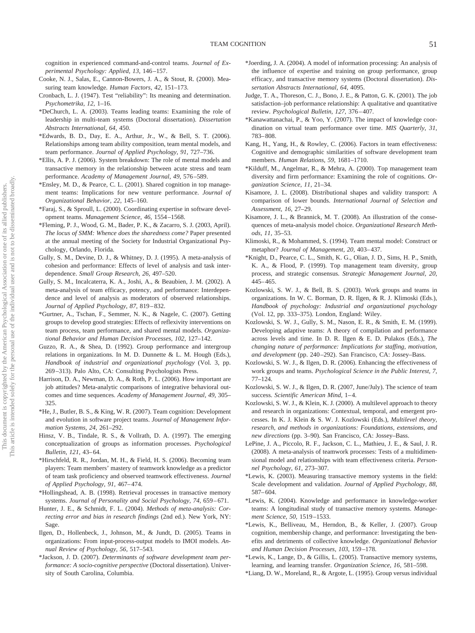cognition in experienced command-and-control teams. *Journal of Experimental Psychology: Applied, 13,* 146 –157.

- Cooke, N. J., Salas, E., Cannon-Bowers, J. A., & Stout, R. (2000). Measuring team knowledge. *Human Factors, 42,* 151–173.
- Cronbach, L. J. (1947). Test "reliability": Its meaning and determination. *Psychometrika, 12,* 1–16.
- \*DeChurch, L. A. (2003). Teams leading teams: Examining the role of leadership in multi-team systems (Doctoral dissertation). *Dissertation Abstracts International, 64,* 450.
- \*Edwards, B. D., Day, E. A., Arthur, Jr., W., & Bell, S. T. (2006). Relationships among team ability composition, team mental models, and team performance. *Journal of Applied Psychology, 91,* 727–736.
- \*Ellis, A. P. J. (2006). System breakdown: The role of mental models and transactive memory in the relationship between acute stress and team performance. *Academy of Management Journal, 49,* 576 –589.
- \*Ensley, M. D., & Pearce, C. L. (2001). Shared cognition in top management teams: Implications for new venture performance. *Journal of Organizational Behavior, 22,* 145–160.
- \*Faraj, S., & Sproull, L. (2000). Coordinating expertise in software development teams. *Management Science, 46,* 1554 –1568.
- \*Fleming, P. J., Wood, G. M., Bader, P. K., & Zacarro, S. J. (2003, April). *The locus of SMM: Whence does the sharedness come?* Paper presented at the annual meeting of the Society for Industrial Organizational Psychology, Orlando, Florida.
- Gully, S. M., Devine, D. J., & Whitney, D. J. (1995). A meta-analysis of cohesion and performance: Effects of level of analysis and task interdependence. *Small Group Research, 26,* 497–520.
- Gully, S. M., Incalcaterra, K. A., Joshi, A., & Beaubien, J. M. (2002). A meta-analysis of team efficacy, potency, and performance: Interdependence and level of analysis as moderators of observed relationships. *Journal of Applied Psychology, 87,* 819 – 832.
- \*Gurtner, A., Tschan, F., Semmer, N. K., & Nagele, C. (2007). Getting groups to develop good strategies: Effects of reflexivity interventions on team process, team performance, and shared mental models. *Organizational Behavior and Human Decision Processes, 102,* 127–142.
- Guzzo, R. A., & Shea, D. (1992). Group performance and intergroup relations in organizations. In M. D. Dunnette & L. M. Hough (Eds.), *Handbook of industrial and organizational psychology* (Vol. 3, pp. 269 –313). Palo Alto, CA: Consulting Psychologists Press.
- Harrison, D. A., Newman, D. A., & Roth, P. L. (2006). How important are job attitudes? Meta-analytic comparisons of integrative behavioral outcomes and time sequences. *Academy of Management Journal, 49,* 305– 325.
- \*He, J., Butler, B. S., & King, W. R. (2007). Team cognition: Development and evolution in software project teams. *Journal of Management Information Systems, 24,* 261–292.
- Hinsz, V. B., Tindale, R. S., & Vollrath, D. A. (1997). The emerging conceptualization of groups as information processes. *Psychological Bulletin, 121,* 43– 64.
- \*Hirschfeld, R. R., Jordan, M. H., & Field, H. S. (2006). Becoming team players: Team members' mastery of teamwork knowledge as a predictor of team task proficiency and observed teamwork effectiveness. *Journal of Applied Psychology, 91,* 467– 474.
- \*Hollingshead, A. B. (1998). Retrieval processes in transactive memory systems. *Journal of Personality and Social Psychology, 74, 659-671.*
- Hunter, J. E., & Schmidt, F. L. (2004). *Methods of meta-analysis: Correcting error and bias in research findings* (2nd ed.). New York, NY: Sage.
- Ilgen, D., Hollenbeck, J., Johnson, M., & Jundt, D. (2005). Teams in organizations: From input-process-output models to IMOI models. *Annual Review of Psychology, 56,* 517–543.
- \*Jackson, J. D. (2007). *Determinants of software development team performance: A socio-cognitive perspective* (Doctoral dissertation). University of South Carolina, Columbia.
- \*Joerding, J. A. (2004). A model of information processing: An analysis of the influence of expertise and training on group performance, group efficacy, and transactive memory systems (Doctoral dissertation). *Dissertation Abstracts International, 64,* 4095.
- Judge, T. A., Thoreson, C. J., Bono, J. E., & Patton, G. K. (2001). The job satisfaction–job performance relationship: A qualitative and quantitative review. *Psychological Bulletin, 127,* 376 – 407.
- \*Kanawattanachai, P., & Yoo, Y. (2007). The impact of knowledge coordination on virtual team performance over time. *MIS Quarterly, 31,* 783– 808.
- Kang, H., Yang, H., & Rowley, C. (2006). Factors in team effectiveness: Cognitive and demographic similarities of software development team members. *Human Relations, 59,* 1681–1710.
- \*Kilduff, M., Angelmar, R., & Mehra, A. (2000). Top management team diversity and firm performance: Examining the role of cognitions. *Organization Science, 11,* 21–34.
- Kisamore, J. L. (2008). Distributional shapes and validity transport: A comparison of lower bounds. *International Journal of Selection and Assessment, 16,* 27–29.
- Kisamore, J. L., & Brannick, M. T. (2008). An illustration of the consequences of meta-analysis model choice. *Organizational Research Methods, 11,* 35–53.
- Klimoski, R., & Mohammed, S. (1994). Team mental model: Construct or metaphor? *Journal of Management, 20,* 403– 437.
- \*Knight, D., Pearce, C. L., Smith, K. G., Olian, J. D., Sims, H. P., Smith, K. A., & Flood, P. (1999). Top management team diversity, group process, and strategic consensus. *Strategic Management Journal, 20,* 445– 465.
- Kozlowski, S. W. J., & Bell, B. S. (2003). Work groups and teams in organizations. In W. C. Borman, D. R. Ilgen, & R. J. Klimoski (Eds.), *Handbook of psychology: Industrial and organizational psychology* (Vol. 12, pp. 333–375). London, England: Wiley.
- Kozlowski, S. W. J., Gully, S. M., Nason, E. R., & Smith, E. M. (1999). Developing adaptive teams: A theory of compilation and performance across levels and time. In D. R. Ilgen & E. D. Pulakos (Eds.), *The changing nature of performance: Implications for staffing, motivation, and development* (pp. 240 –292). San Francisco, CA: Jossey–Bass.
- Kozlowski, S. W. J., & Ilgen, D. R. (2006). Enhancing the effectiveness of work groups and teams. *Psychological Science in the Public Interest, 7,* 77–124.
- Kozlowski, S. W. J., & Ilgen, D. R. (2007, June/July). The science of team success. *Scientific American Mind*, 1-4.
- Kozlowski, S. W. J., & Klein, K. J. (2000). A multilevel approach to theory and research in organizations: Contextual, temporal, and emergent processes. In K. J. Klein & S. W. J. Kozlowski (Eds.), *Multilevel theory, research, and methods in organizations: Foundations, extensions, and new directions* (pp. 3–90). San Francisco, CA: Jossey–Bass.
- LePine, J. A., Piccolo, R. F., Jackson, C. L., Mathieu, J. E., & Saul, J. R. (2008). A meta-analysis of teamwork processes: Tests of a multidimensional model and relationships with team effectiveness criteria. *Personnel Psychology, 61,* 273–307.
- \*Lewis, K. (2003). Measuring transactive memory systems in the field: Scale development and validation. *Journal of Applied Psychology, 88,* 587– 604.
- \*Lewis, K. (2004). Knowledge and performance in knowledge-worker teams: A longitudinal study of transactive memory systems. *Management Science, 50,* 1519 –1533.
- \*Lewis, K., Belliveau, M., Herndon, B., & Keller, J. (2007). Group cognition, membership change, and performance: Investigating the benefits and detriments of collective knowledge. *Organizational Behavior and Human Decision Processes, 103,* 159 –178.
- \*Lewis, K., Lange, D., & Gillis, L. (2005). Transactive memory systems, learning, and learning transfer. *Organization Science, 16,* 581–598.
- \*Liang, D. W., Moreland, R., & Argote, L. (1995). Group versus individual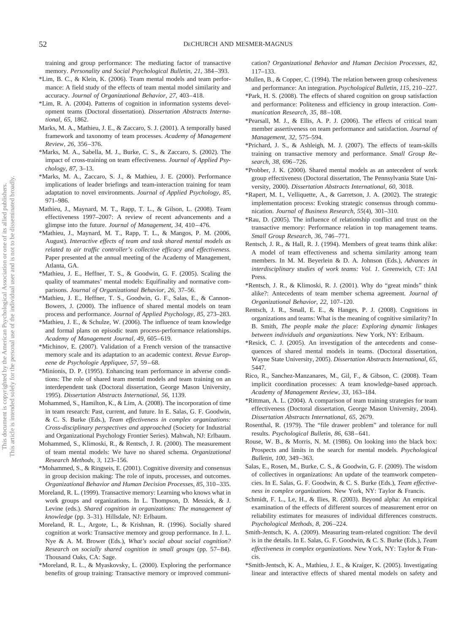training and group performance: The mediating factor of transactive memory. *Personality and Social Psychological Bulletin, 21,* 384 –393.

- \*Lim, B. C., & Klein, K. (2006). Team mental models and team performance: A field study of the effects of team mental model similarity and accuracy. *Journal of Organizational Behavior*, 27, 403-418.
- \*Lim, R. A. (2004). Patterns of cognition in information systems development teams (Doctoral dissertation). *Dissertation Abstracts International, 65,* 1862.
- Marks, M. A., Mathieu, J. E., & Zaccaro, S. J. (2001). A temporally based framework and taxonomy of team processes. *Academy of Management Review, 26,* 356 –376.
- \*Marks, M. A., Sabella, M. J., Burke, C. S., & Zaccaro, S. (2002). The impact of cross-training on team effectiveness. *Journal of Applied Psychology, 87,* 3–13.
- \*Marks, M. A., Zaccaro, S. J., & Mathieu, J. E. (2000). Performance implications of leader briefings and team-interaction training for team adaptation to novel environments. *Journal of Applied Psychology, 85,* 971–986.
- Mathieu, J., Maynard, M. T., Rapp, T. L., & Gilson, L. (2008). Team effectiveness 1997–2007: A review of recent advancements and a glimpse into the future. *Journal of Management*, 34, 410-476.
- \*Mathieu, J., Maynard, M. T., Rapp, T. L., & Mangos, P. M. (2006, August). *Interactive effects of team and task shared mental models as related to air traffic controller's collective efficacy and effectiveness.* Paper presented at the annual meeting of the Academy of Management, Atlanta, GA.
- \*Mathieu, J. E., Heffner, T. S., & Goodwin, G. F. (2005). Scaling the quality of teammates' mental models: Equifinality and normative comparisons. *Journal of Organizational Behavior, 26,* 37–56.
- \*Mathieu, J. E., Heffner, T. S., Goodwin, G. F., Salas, E., & Cannon-Bowers, J. (2000). The influence of shared mental models on team process and performance. *Journal of Applied Psychology, 85,* 273–283.
- \*Mathieu, J. E., & Schulze, W. (2006). The influence of team knowledge and formal plans on episodic team process-performance relationships. *Academy of Management Journal, 49,* 605– 619.
- \*Michinov, E. (2007). Validation of a French version of the transactive memory scale and its adaptation to an academic context. *Revue Europeene de Psychologie Appliquee, 57,* 59 – 68.
- \*Minionis, D. P. (1995). Enhancing team performance in adverse conditions: The role of shared team mental models and team training on an interdependent task (Doctoral dissertation, George Mason University, 1995). *Dissertation Abstracts International, 56,* 1139.
- Mohammed, S., Hamilton, K., & Lim, A. (2008). The incorporation of time in team research: Past, current, and future. In E. Salas, G. F. Goodwin, & C. S. Burke (Eds.), *Team effectiveness in complex organizations: Cross-disciplinary perspectives and approached* (Society for Industrial and Organizational Psychology Frontier Series). Mahwah, NJ: Erlbaum.
- Mohammed, S., Klimoski, R., & Rentsch, J. R. (2000). The measurement of team mental models: We have no shared schema. *Organizational Research Methods, 3,* 123–156.
- \*Mohammed, S., & Ringseis, E. (2001). Cognitive diversity and consensus in group decision making: The role of inputs, processes, and outcomes. *Organizational Behavior and Human Decision Processes, 85,* 310 –335.
- Moreland, R. L. (1999). Transactive memory: Learning who knows what in work groups and organizations. In L. Thompson, D. Messick, & J. Levine (eds.). *Shared cognition in organizations: The management of knowledge* (pp. 3–31). Hillsdale, NJ: Erlbaum.
- Moreland, R. L., Argote, L., & Krishnan, R. (1996). Socially shared cognition at work: Transactive memory and group performance. In J. L. Nye & A. M. Brower (Eds.), *What's social about social cognition? Research on socially shared cognition in small groups* (pp. 57– 84). Thousand Oaks, CA: Sage.
- \*Moreland, R. L., & Myaskovsky, L. (2000). Exploring the performance benefits of group training: Transactive memory or improved communi-

cation? *Organizational Behavior and Human Decision Processes, 82,* 117–133.

- Mullen, B., & Copper, C. (1994). The relation between group cohesiveness and performance: An integration. *Psychological Bulletin, 115,* 210 –227.
- \*Park, H. S. (2008). The effects of shared cognition on group satisfaction and performance: Politeness and efficiency in group interaction. *Communication Research, 35,* 88 –108.
- \*Pearsall, M. J., & Ellis, A. P. J. (2006). The effects of critical team member assertiveness on team performance and satisfaction. *Journal of Management, 32,* 575–594.
- \*Prichard, J. S., & Ashleigh, M. J. (2007). The effects of team-skills training on transactive memory and performance. *Small Group Research, 38,* 696 –726.
- \*Probber, J. K. (2000). Shared mental models as an antecedent of work group effectiveness (Doctoral dissertation, The Pennsylvania State University, 2000). *Dissertation Abstracts International, 60,* 3018.
- \*Rapert, M. I., Velliquette, A., & Garretson, J. A. (2002). The strategic implementation process: Evoking strategic consensus through communication. *Journal of Business Research, 55*(4), 301–310.
- \*Rau, D. (2005). The influence of relationship conflict and trust on the transactive memory: Performance relation in top management teams. *Small Group Research, 36,* 746 –771.
- Rentsch, J. R., & Hall, R. J. (1994). Members of great teams think alike: A model of team effectiveness and schema similarity among team members. In M. M. Beyerlein & D. A. Johnson (Eds.), *Advances in interdisciplinary studies of work teams: Vol. 1.* Greenwich, CT: JAI Press.
- \*Rentsch, J. R., & Klimoski, R. J. (2001). Why do "great minds" think alike?: Antecedents of team member schema agreement. *Journal of Organizational Behavior, 22,* 107–120.
- Rentsch, J. R., Small, E. E., & Hanges, P. J. (2008). Cognitions in organizations and teams: What is the meaning of cognitive similarity? In B. Smith, *The people make the place: Exploring dynamic linkages between individuals and organizations.* New York, NY: Erlbaum.
- \*Resick, C. J. (2005). An investigation of the antecedents and consequences of shared mental models in teams. (Doctoral dissertation, Wayne State University, 2005). *Dissertation Abstracts International, 65,* 5447.
- Rico, R., Sanchez-Manzanares, M., Gil, F., & Gibson, C. (2008). Team implicit coordination processes: A team knowledge-based approach. *Academy of Management Review, 33,* 163–184.
- \*Rittman, A. L. (2004). A comparison of team training strategies for team effectiveness (Doctoral dissertation, George Mason University, 2004). *Dissertation Abstracts International, 65,* 2679.
- Rosenthal, R. (1979). The "file drawer problem" and tolerance for null results. *Psychological Bulletin, 86,* 638 – 641.
- Rouse, W. B., & Morris, N. M. (1986). On looking into the black box: Prospects and limits in the search for mental models. *Psychological Bulletin, 100,* 349 –363.
- Salas, E., Rosen, M., Burke, C. S., & Goodwin, G. F. (2009). The wisdom of collectives in organizations: An update of the teamwork competencies. In E. Salas, G. F. Goodwin, & C. S. Burke (Eds.), *Team effectiveness in complex organizations.* New York, NY: Taylor & Francis.
- Schmidt, F. L., Le, H., & Ilies, R. (2003). Beyond alpha: An empirical examination of the effects of different sources of measurement error on reliability estimates for measures of individual differences constructs. *Psychological Methods, 8,* 206 –224.
- Smith-Jentsch, K. A. (2009). Measuring team-related cognition: The devil is in the details. In E. Salas, G. F. Goodwin, & C. S. Burke (Eds.), *Team effectiveness in complex organizations.* New York, NY: Taylor & Francis.
- \*Smith-Jentsch, K. A., Mathieu, J. E., & Kraiger, K. (2005). Investigating linear and interactive effects of shared mental models on safety and